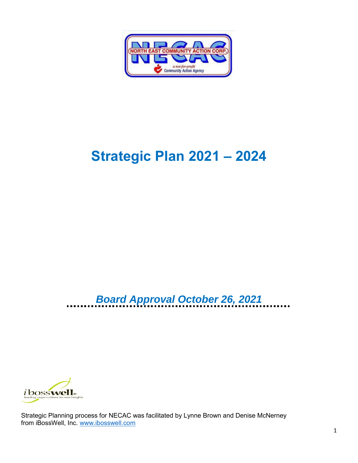

# **Strategic Plan 2021 – 2024**

*Board Approval October 26, 2021*



Strategic Planning process for NECAC was facilitated by Lynne Brown and Denise McNerney from iBossWell, Inc. [www.ibosswell.com](http://www.ibosswell.com/)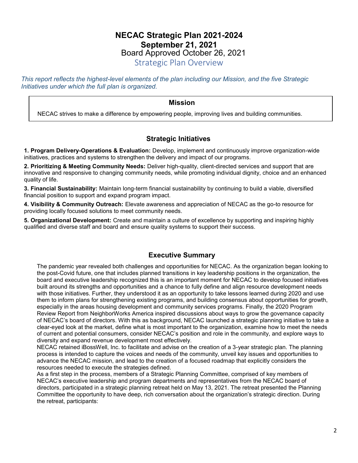# **NECAC Strategic Plan 2021-2024 September 21, 2021** Board Approved October 26, 2021

Strategic Plan Overview

*This report reflects the highest-level elements of the plan including our Mission, and the five Strategic Initiatives under which the full plan is organized.*

### **Mission**

NECAC strives to make a difference by empowering people, improving lives and building communities.

## **Strategic Initiatives**

**1. Program Delivery-Operations & Evaluation:** Develop, implement and continuously improve organization-wide initiatives, practices and systems to strengthen the delivery and impact of our programs.

**2. Prioritizing & Meeting Community Needs:** Deliver high-quality, client-directed services and support that are innovative and responsive to changing community needs, while promoting individual dignity, choice and an enhanced quality of life.

**3. Financial Sustainability:** Maintain long-term financial sustainability by continuing to build a viable, diversified financial position to support and expand program impact.

**4. Visibility & Community Outreach:** Elevate awareness and appreciation of NECAC as the go-to resource for providing locally focused solutions to meet community needs.

**5. Organizational Development:** Create and maintain a culture of excellence by supporting and inspiring highly qualified and diverse staff and board and ensure quality systems to support their success.

## **Executive Summary**

The pandemic year revealed both challenges and opportunities for NECAC. As the organization began looking to the post-Covid future, one that includes planned transitions in key leadership positions in the organization, the board and executive leadership recognized this is an important moment for NECAC to develop focused initiatives built around its strengths and opportunities and a chance to fully define and align resource development needs with those initiatives. Further, they understood it as an opportunity to take lessons learned during 2020 and use them to inform plans for strengthening existing programs, and building consensus about opportunities for growth, especially in the areas housing development and community services programs. Finally, the 2020 Program Review Report from NeighborWorks America inspired discussions about ways to grow the governance capacity of NECAC's board of directors. With this as background, NECAC launched a strategic planning initiative to take a clear-eyed look at the market, define what is most important to the organization, examine how to meet the needs of current and potential consumers, consider NECAC's position and role in the community, and explore ways to diversity and expand revenue development most effectively.

NECAC retained iBossWell, Inc. to facilitate and advise on the creation of a 3-year strategic plan. The planning process is intended to capture the voices and needs of the community, unveil key issues and opportunities to advance the NECAC mission, and lead to the creation of a focused roadmap that explicitly considers the resources needed to execute the strategies defined.

As a first step in the process, members of a Strategic Planning Committee, comprised of key members of NECAC's executive leadership and program departments and representatives from the NECAC board of directors, participated in a strategic planning retreat held on May 13, 2021. The retreat presented the Planning Committee the opportunity to have deep, rich conversation about the organization's strategic direction. During the retreat, participants: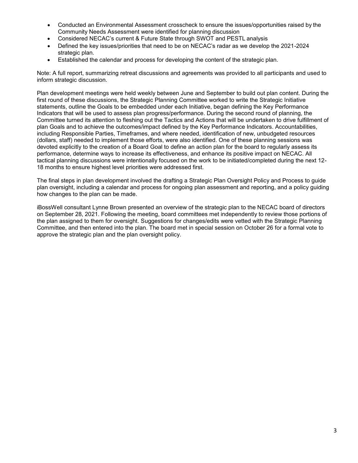- Conducted an Environmental Assessment crosscheck to ensure the issues/opportunities raised by the Community Needs Assessment were identified for planning discussion
- Considered NECAC's current & Future State through SWOT and PESTL analysis
- Defined the key issues/priorities that need to be on NECAC's radar as we develop the 2021-2024 strategic plan.
- Established the calendar and process for developing the content of the strategic plan.

Note: A full report, summarizing retreat discussions and agreements was provided to all participants and used to inform strategic discussion.

Plan development meetings were held weekly between June and September to build out plan content. During the first round of these discussions, the Strategic Planning Committee worked to write the Strategic Initiative statements, outline the Goals to be embedded under each Initiative, began defining the Key Performance Indicators that will be used to assess plan progress/performance. During the second round of planning, the Committee turned its attention to fleshing out the Tactics and Actions that will be undertaken to drive fulfillment of plan Goals and to achieve the outcomes/impact defined by the Key Performance Indicators. Accountabilities, including Responsible Parties, Timeframes, and where needed, identification of new, unbudgeted resources (dollars, staff) needed to implement those efforts, were also identified. One of these planning sessions was devoted explicitly to the creation of a Board Goal to define an action plan for the board to regularly assess its performance, determine ways to increase its effectiveness, and enhance its positive impact on NECAC. All tactical planning discussions were intentionally focused on the work to be initiated/completed during the next 12- 18 months to ensure highest level priorities were addressed first.

The final steps in plan development involved the drafting a Strategic Plan Oversight Policy and Process to guide plan oversight, including a calendar and process for ongoing plan assessment and reporting, and a policy guiding how changes to the plan can be made.

iBossWell consultant Lynne Brown presented an overview of the strategic plan to the NECAC board of directors on September 28, 2021. Following the meeting, board committees met independently to review those portions of the plan assigned to them for oversight. Suggestions for changes/edits were vetted with the Strategic Planning Committee, and then entered into the plan. The board met in special session on October 26 for a formal vote to approve the strategic plan and the plan oversight policy.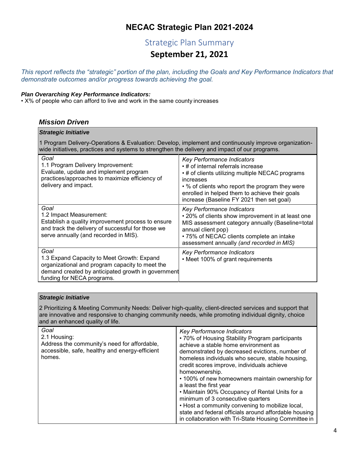# **NECAC Strategic Plan 2021-2024**

# Strategic Plan Summary

# **September 21, 2021**

*This report reflects the "strategic" portion of the plan, including the Goals and Key Performance Indicators that demonstrate outcomes and/or progress towards achieving the goal.*

#### *Plan Overarching Key Performance Indicators:*

• X% of people who can afford to live and work in the same county increases

## *Mission Driven*

| <b>Strategic Initiative</b>                                                                                                                                                                             |                                                                                                                                                                                                                                                                                            |  |  |  |
|---------------------------------------------------------------------------------------------------------------------------------------------------------------------------------------------------------|--------------------------------------------------------------------------------------------------------------------------------------------------------------------------------------------------------------------------------------------------------------------------------------------|--|--|--|
| 1 Program Delivery-Operations & Evaluation: Develop, implement and continuously improve organization-<br>wide initiatives, practices and systems to strengthen the delivery and impact of our programs. |                                                                                                                                                                                                                                                                                            |  |  |  |
| Goal<br>1.1 Program Delivery Improvement:<br>Evaluate, update and implement program<br>practices/approaches to maximize efficiency of<br>delivery and impact.                                           | <b>Key Performance Indicators</b><br>• # of internal referrals increase<br>• # of clients utilizing multiple NECAC programs<br>increases<br>• % of clients who report the program they were<br>enrolled in helped them to achieve their goals<br>increase (Baseline FY 2021 then set goal) |  |  |  |
| Goal<br>1.2 Impact Measurement:<br>Establish a quality improvement process to ensure<br>and track the delivery of successful for those we<br>serve annually (and recorded in MIS).                      | Key Performance Indicators<br>• 20% of clients show improvement in at least one<br>MIS assessment category annually (Baseline=total<br>annual client pop)<br>• 75% of NECAC clients complete an intake<br>assessment annually (and recorded in MIS)                                        |  |  |  |
| Goal<br>1.3 Expand Capacity to Meet Growth: Expand<br>organizational and program capacity to meet the<br>demand created by anticipated growth in government<br>funding for NECA programs.               | <b>Key Performance Indicators</b><br>• Meet 100% of grant requirements                                                                                                                                                                                                                     |  |  |  |

| <b>Strategic Initiative</b>                                                                                                                                                                                                                            |                                                                                                                                                                                                                                                                                                                                                                                                                                                                                                                                                                                                                                     |  |  |  |
|--------------------------------------------------------------------------------------------------------------------------------------------------------------------------------------------------------------------------------------------------------|-------------------------------------------------------------------------------------------------------------------------------------------------------------------------------------------------------------------------------------------------------------------------------------------------------------------------------------------------------------------------------------------------------------------------------------------------------------------------------------------------------------------------------------------------------------------------------------------------------------------------------------|--|--|--|
| 2 Prioritizing & Meeting Community Needs: Deliver high-quality, client-directed services and support that<br>are innovative and responsive to changing community needs, while promoting individual dignity, choice<br>and an enhanced quality of life. |                                                                                                                                                                                                                                                                                                                                                                                                                                                                                                                                                                                                                                     |  |  |  |
| Goal<br>2.1 Housing:<br>Address the community's need for affordable,<br>accessible, safe, healthy and energy-efficient<br>homes.                                                                                                                       | Key Performance Indicators<br>• 70% of Housing Stability Program participants<br>achieve a stable home environment as<br>demonstrated by decreased evictions, number of<br>homeless individuals who secure, stable housing,<br>credit scores improve, individuals achieve<br>homeownership.<br>• 100% of new homeowners maintain ownership for<br>a least the first year<br>• Maintain 90% Occupancy of Rental Units for a<br>minimum of 3 consecutive quarters<br>• Host a community convening to mobilize local,<br>state and federal officials around affordable housing<br>in collaboration with Tri-State Housing Committee in |  |  |  |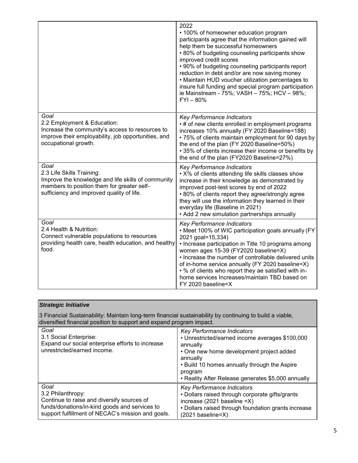|                                                                                                                                                                                    | 2022<br>• 100% of homeowner education program<br>participants agree that the information gained will<br>help them be successful homeowners<br>• 80% of budgeting counseling participants show<br>improved credit scores<br>• 90% of budgeting counseling participants report<br>reduction in debt and/or are now saving money<br>• Maintain HUD voucher utilization percentages to<br>insure full funding and special program participation<br>ie Mainstream - 75%; VASH - 75%; HCV - 98%;<br>$FYI - 80%$ |
|------------------------------------------------------------------------------------------------------------------------------------------------------------------------------------|-----------------------------------------------------------------------------------------------------------------------------------------------------------------------------------------------------------------------------------------------------------------------------------------------------------------------------------------------------------------------------------------------------------------------------------------------------------------------------------------------------------|
| Goal<br>2.2 Employment & Education:<br>Increase the community's access to resources to<br>improve their employability, job opportunities, and<br>occupational growth.              | Key Performance Indicators<br>• # of new clients enrolled in employment programs<br>increases 10% annually (FY 2020 Baseline=188)<br>• 75% of clients maintain employment for 90 days by<br>the end of the plan (FY 2020 Baseline=50%)<br>• 35% of clients increase their income or benefits by<br>the end of the plan (FY2020 Baseline=27%)                                                                                                                                                              |
| Goal<br>2.3 Life Skills Training:<br>Improve the knowledge and life skills of community<br>members to position them for greater self-<br>sufficiency and improved quality of life. | Key Performance Indicators<br>• X% of clients attending life skills classes show<br>increase in their knowledge as demonstrated by<br>improved post-test scores by end of 2022<br>• 80% of clients report they agree/strongly agree<br>they will use the information they learned in their<br>everyday life (Baseline in 2021)<br>• Add 2 new simulation partnerships annually                                                                                                                            |
| Goal<br>2.4 Health & Nutrition:<br>Connect vulnerable populations to resources<br>providing health care, health education, and healthy<br>food.                                    | Key Performance Indicators<br>• Meet 100% of WIC participation goals annually (FY<br>2021 goal=15,334)<br>• Increase participation in Title 10 programs among<br>women ages 15-39 (FY2020 baseline=X)<br>• Increase the number of controllable delivered units<br>of in-home service annually (FY 2020 baseline=X)<br>• % of clients who report they ae satisfied with in-<br>home services Increases/maintain TBD based on<br>FY 2020 baseline=X                                                         |

| <b>Strategic Initiative</b>                                                                                                                                                      |                                                                                                                                                                                                                                                                    |  |  |
|----------------------------------------------------------------------------------------------------------------------------------------------------------------------------------|--------------------------------------------------------------------------------------------------------------------------------------------------------------------------------------------------------------------------------------------------------------------|--|--|
| 3 Financial Sustainability: Maintain long-term financial sustainability by continuing to build a viable,<br>diversified financial position to support and expand program impact. |                                                                                                                                                                                                                                                                    |  |  |
| Goal<br>3.1 Social Enterprise:<br>Expand our social enterprise efforts to increase<br>unrestricted/earned income.                                                                | Key Performance Indicators<br>• Unrestricted/earned income averages \$100,000<br>annually<br>• One new home development project added<br>annually<br>. Build 10 homes annually through the Aspire<br>program<br>• Reality After Release generates \$5,000 annually |  |  |
| Goal<br>3.2 Philanthropy:<br>Continue to raise and diversify sources of<br>funds/donations/in-kind goods and services to<br>support fulfillment of NECAC's mission and goals.    | Key Performance Indicators<br>• Dollars raised through corporate gifts/grants<br>increase (2021 baseline =X)<br>• Dollars raised through foundation grants increase<br>(2021 baseline=X)                                                                           |  |  |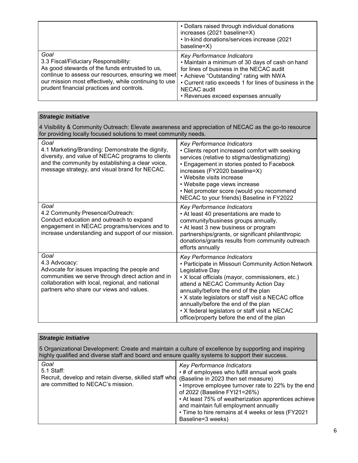|                                                                                                                                                                                                                                                            | • Dollars raised through individual donations<br>increases (2021 baseline=X)<br>• In-kind donations/services increase (2021<br>baseline=X)                                                                                                                                                         |
|------------------------------------------------------------------------------------------------------------------------------------------------------------------------------------------------------------------------------------------------------------|----------------------------------------------------------------------------------------------------------------------------------------------------------------------------------------------------------------------------------------------------------------------------------------------------|
| Goal<br>3.3 Fiscal/Fiduciary Responsibility:<br>As good stewards of the funds entrusted to us,<br>continue to assess our resources, ensuring we meet<br>our mission most effectively, while continuing to use<br>prudent financial practices and controls. | <b>Key Performance Indicators</b><br>• Maintain a minimum of 30 days of cash on hand<br>for lines of business in the NECAC audit<br>• Achieve "Outstanding" rating with NWA<br>• Current ratio exceeds 1 for lines of business in the<br><b>NECAC</b> audit<br>• Revenues exceed expenses annually |

| <b>Strategic Initiative</b>                                                                                                                                                                                                |                                                                                                                                                                                                                                                                                                                                                                                                                                     |  |  |
|----------------------------------------------------------------------------------------------------------------------------------------------------------------------------------------------------------------------------|-------------------------------------------------------------------------------------------------------------------------------------------------------------------------------------------------------------------------------------------------------------------------------------------------------------------------------------------------------------------------------------------------------------------------------------|--|--|
| 4 Visibility & Community Outreach: Elevate awareness and appreciation of NECAC as the go-to resource<br>for providing locally focused solutions to meet community needs.                                                   |                                                                                                                                                                                                                                                                                                                                                                                                                                     |  |  |
| Goal<br>4.1 Marketing/Branding: Demonstrate the dignity,<br>diversity, and value of NECAC programs to clients<br>and the community by establishing a clear voice,<br>message strategy, and visual brand for NECAC.         | Key Performance Indicators<br>• Clients report increased comfort with seeking<br>services (relative to stigma/destigmatizing)<br>• Engagement in stories posted to Facebook<br>increases (FY2020 baseline=X)<br>• Website visits increase<br>• Website page views increase<br>• Net promoter score (would you recommend<br>NECAC to your friends) Baseline in FY2022                                                                |  |  |
| Goal<br>4.2 Community Presence/Outreach:<br>Conduct education and outreach to expand<br>engagement in NECAC programs/services and to<br>increase understanding and support of our mission.                                 | Key Performance Indicators<br>• At least 40 presentations are made to<br>community/business groups annually.<br>• At least 3 new business or program<br>partnerships/grants, or significant philanthropic<br>donations/grants results from community outreach<br>efforts annually                                                                                                                                                   |  |  |
| Goal<br>4.3 Advocacy:<br>Advocate for issues impacting the people and<br>communities we serve through direct action and in<br>collaboration with local, regional, and national<br>partners who share our views and values. | Key Performance Indicators<br>• Participate in Missouri Community Action Network<br>Legislative Day<br>• X local officials (mayor, commissioners, etc.)<br>attend a NECAC Community Action Day<br>annually/before the end of the plan<br>• X state legislators or staff visit a NECAC office<br>annually/before the end of the plan<br>• X federal legislators or staff visit a NECAC<br>office/property before the end of the plan |  |  |

| <b>Strategic Initiative</b>                                                                                                                                                                                |                                                                                                                                                                                                                                                                                                                                               |  |  |  |
|------------------------------------------------------------------------------------------------------------------------------------------------------------------------------------------------------------|-----------------------------------------------------------------------------------------------------------------------------------------------------------------------------------------------------------------------------------------------------------------------------------------------------------------------------------------------|--|--|--|
| 5 Organizational Development: Create and maintain a culture of excellence by supporting and inspiring<br>highly qualified and diverse staff and board and ensure quality systems to support their success. |                                                                                                                                                                                                                                                                                                                                               |  |  |  |
| Goal<br>5.1 Staff:<br>Recruit, develop and retain diverse, skilled staff who (Baseline in 2023 then set measure)<br>are committed to NECAC's mission.                                                      | Key Performance Indicators<br>• # of employees who fulfill annual work goals<br>• Improve employee turnover rate to 22% by the end<br>of 2022 (Baseline FYI21=26%)<br>• At least 75% of weatherization apprentices achieve<br>and maintain full employment annually<br>• Time to hire remains at 4 weeks or less (FY2021<br>Baseline=3 weeks) |  |  |  |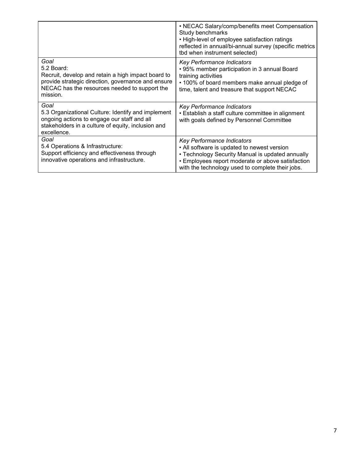|                                                                                                                                                                                             | • NECAC Salary/comp/benefits meet Compensation<br>Study benchmarks<br>• High-level of employee satisfaction ratings<br>reflected in annual/bi-annual survey (specific metrics<br>tbd when instrument selected)                         |
|---------------------------------------------------------------------------------------------------------------------------------------------------------------------------------------------|----------------------------------------------------------------------------------------------------------------------------------------------------------------------------------------------------------------------------------------|
| Goal<br>5.2 Board:<br>Recruit, develop and retain a high impact board to<br>provide strategic direction, governance and ensure<br>NECAC has the resources needed to support the<br>mission. | <b>Key Performance Indicators</b><br>• 95% member participation in 3 annual Board<br>training activities<br>• 100% of board members make annual pledge of<br>time, talent and treasure that support NECAC                              |
| Goal<br>5.3 Organizational Culture: Identify and implement<br>ongoing actions to engage our staff and all<br>stakeholders in a culture of equity, inclusion and<br>excellence.              | Key Performance Indicators<br>• Establish a staff culture committee in alignment<br>with goals defined by Personnel Committee                                                                                                          |
| Goal<br>5.4 Operations & Infrastructure:<br>Support efficiency and effectiveness through<br>innovative operations and infrastructure.                                                       | Key Performance Indicators<br>• All software is updated to newest version<br>• Technology Security Manual is updated annually<br>• Employees report moderate or above satisfaction<br>with the technology used to complete their jobs. |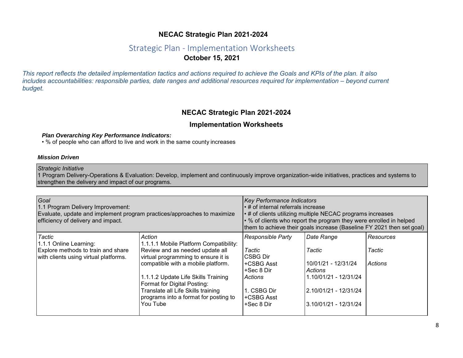# **NECAC Strategic Plan 2021-2024**

# Strategic Plan - Implementation Worksheets **October 15, 2021**

*This report reflects the detailed implementation tactics and actions required to achieve the Goals and KPIs of the plan. It also includes accountabilities: responsible parties, date ranges and additional resources required for implementation – beyond current budget.*

### **NECAC Strategic Plan 2021-2024**

### **Implementation Worksheets**

#### *Plan Overarching Key Performance Indicators:*

• % of people who can afford to live and work in the same county increases

#### *Mission Driven*

#### *Strategic Initiative*

1 Program Delivery-Operations & Evaluation: Develop, implement and continuously improve organization-wide initiatives, practices and systems to strengthen the delivery and impact of our programs.

| Goal<br>1.1 Program Delivery Improvement:<br>Evaluate, update and implement program practices/approaches to maximize<br>efficiency of delivery and impact. |                                                                                                                                                                                                                                                                                                                                   | <b>Key Performance Indicators</b><br>$\left  \cdot \right.$ # of internal referrals increase<br>$\cdot$ # of clients utilizing multiple NECAC programs increases<br>$\cdot$ % of clients who report the program they were enrolled in helped<br>them to achieve their goals increase (Baseline FY 2021 then set goal) |                                                                                                                                          |                                              |
|------------------------------------------------------------------------------------------------------------------------------------------------------------|-----------------------------------------------------------------------------------------------------------------------------------------------------------------------------------------------------------------------------------------------------------------------------------------------------------------------------------|-----------------------------------------------------------------------------------------------------------------------------------------------------------------------------------------------------------------------------------------------------------------------------------------------------------------------|------------------------------------------------------------------------------------------------------------------------------------------|----------------------------------------------|
| <b>Tactic</b><br>1.1.1 Online Learning:<br>Explore methods to train and share<br>with clients using virtual platforms.                                     | Action<br>1.1.1.1 Mobile Platform Compatibility:<br>Review and as needed update all<br>virtual programming to ensure it is<br>compatible with a mobile platform.<br>1.1.1.2 Update Life Skills Training<br>Format for Digital Posting:<br>Translate all Life Skills training<br>programs into a format for posting to<br>You Tube | Responsible Party<br>Tactic<br>ICSBG Dir<br>l+CSBG Asst<br>l+Sec 8 Dir<br><b>Actions</b><br>1. CSBG Dir<br>+CSBG Asst<br>+Sec 8 Dir                                                                                                                                                                                   | Date Range<br>Tactic<br>10/01/21 - 12/31/24<br><b>Actions</b><br>1.10/01/21 - 12/31/24<br>2.10/01/21 - 12/31/24<br>3.10/01/21 - 12/31/24 | <b>Resources</b><br>Tactic<br><b>Actions</b> |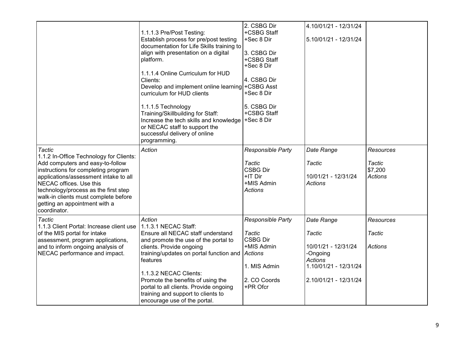|                                                                                                                                                                                                                                                                                                                                          | 1.1.1.3 Pre/Post Testing:<br>Establish process for pre/post testing<br>documentation for Life Skills training to<br>align with presentation on a digital<br>platform.<br>1.1.1.4 Online Curriculum for HUD<br>Clients:<br>Develop and implement online learning + CSBG Asst<br>curriculum for HUD clients<br>1.1.1.5 Technology<br>Training/Skillbuilding for Staff:<br>Increase the tech skills and knowledge<br>or NECAC staff to support the<br>successful delivery of online<br>programming. | 2. CSBG Dir<br>+CSBG Staff<br>+Sec 8 Dir<br>3. CSBG Dir<br>+CSBG Staff<br>+Sec 8 Dir<br>4. CSBG Dir<br>+Sec 8 Dir<br>5. CSBG Dir<br>+CSBG Staff<br>+Sec 8 Dir | 4.10/01/21 - 12/31/24<br>5.10/01/21 - 12/31/24                                                                              |                                                  |
|------------------------------------------------------------------------------------------------------------------------------------------------------------------------------------------------------------------------------------------------------------------------------------------------------------------------------------------|--------------------------------------------------------------------------------------------------------------------------------------------------------------------------------------------------------------------------------------------------------------------------------------------------------------------------------------------------------------------------------------------------------------------------------------------------------------------------------------------------|---------------------------------------------------------------------------------------------------------------------------------------------------------------|-----------------------------------------------------------------------------------------------------------------------------|--------------------------------------------------|
| <b>Tactic</b><br>1.1.2 In-Office Technology for Clients:<br>Add computers and easy-to-follow<br>instructions for completing program<br>applications/assessment intake to all<br>NECAC offices. Use this<br>technology/process as the first step<br>walk-in clients must complete before<br>getting an appointment with a<br>coordinator. | Action                                                                                                                                                                                                                                                                                                                                                                                                                                                                                           | Responsible Party<br><b>Tactic</b><br><b>CSBG Dir</b><br>+IT Dir<br>+MIS Admin<br><b>Actions</b>                                                              | Date Range<br>Tactic<br>10/01/21 - 12/31/24<br><b>Actions</b>                                                               | Resources<br>Tactic<br>\$7,200<br><b>Actions</b> |
| <b>Tactic</b><br>1.1.3 Client Portal: Increase client use<br>of the MIS portal for intake<br>assessment, program applications,<br>and to inform ongoing analysis of<br>NECAC performance and impact.                                                                                                                                     | Action<br>1.1.3.1 NECAC Staff:<br>Ensure all NECAC staff understand<br>and promote the use of the portal to<br>clients. Provide ongoing<br>training/updates on portal function and<br>features<br>1.1.3.2 NECAC Clients:<br>Promote the benefits of using the<br>portal to all clients. Provide ongoing<br>training and support to clients to<br>encourage use of the portal.                                                                                                                    | Responsible Party<br>Tactic<br><b>CSBG Dir</b><br>+MIS Admin<br><b>Actions</b><br>1. MIS Admin<br>2. CO Coords<br>+PR Ofcr                                    | Date Range<br>Tactic<br>10/01/21 - 12/31/24<br>-Ongoing<br><b>Actions</b><br>1.10/01/21 - 12/31/24<br>2.10/01/21 - 12/31/24 | <b>Resources</b><br>Tactic<br>Actions            |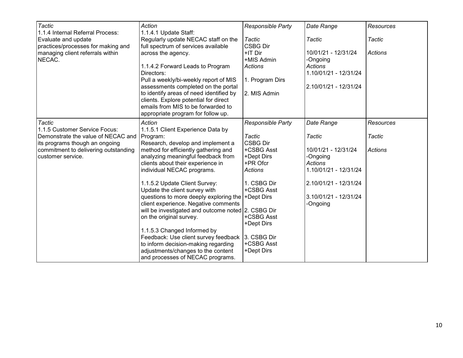| <b>Tactic</b><br>1.1.4 Internal Referral Process:                    | Action<br>1.1.4.1 Update Staff:                                                                                                                              | <b>Responsible Party</b>  | Date Range                              | Resources        |
|----------------------------------------------------------------------|--------------------------------------------------------------------------------------------------------------------------------------------------------------|---------------------------|-----------------------------------------|------------------|
| Evaluate and update<br>practices/processes for making and            | Regularly update NECAC staff on the<br>full spectrum of services available                                                                                   | Tactic<br><b>CSBG Dir</b> | Tactic                                  | Tactic           |
| managing client referrals within<br>NECAC.                           | across the agency.                                                                                                                                           | +IT Dir<br>+MIS Admin     | 10/01/21 - 12/31/24<br>-Ongoing         | Actions          |
|                                                                      | 1.1.4.2 Forward Leads to Program<br>Directors:                                                                                                               | <b>Actions</b>            | <b>Actions</b><br>1.10/01/21 - 12/31/24 |                  |
|                                                                      | Pull a weekly/bi-weekly report of MIS<br>assessments completed on the portal                                                                                 | 1. Program Dirs           | 2.10/01/21 - 12/31/24                   |                  |
|                                                                      | to identify areas of need identified by<br>clients. Explore potential for direct<br>emails from MIS to be forwarded to<br>appropriate program for follow up. | 2. MIS Admin              |                                         |                  |
| <b>Tactic</b><br>1.1.5 Customer Service Focus:                       | Action<br>1.1.5.1 Client Experience Data by                                                                                                                  | Responsible Party         | Date Range                              | <b>Resources</b> |
| Demonstrate the value of NECAC and<br>its programs though an ongoing | Program:<br>Research, develop and implement a                                                                                                                | Tactic<br><b>CSBG Dir</b> | Tactic                                  | Tactic           |
| commitment to delivering outstanding<br>customer service.            | method for efficiently gathering and<br>analyzing meaningful feedback from                                                                                   | +CSBG Asst<br>+Dept Dirs  | 10/01/21 - 12/31/24<br>-Ongoing         | <b>Actions</b>   |
|                                                                      | clients about their experience in<br>individual NECAC programs.                                                                                              | +PR Ofcr<br>Actions       | <b>Actions</b><br>1.10/01/21 - 12/31/24 |                  |
|                                                                      | 1.1.5.2 Update Client Survey:<br>Update the client survey with                                                                                               | 1. CSBG Dir<br>+CSBG Asst | 2.10/01/21 - 12/31/24                   |                  |
|                                                                      | questions to more deeply exploring the +Dept Dirs<br>client experience. Negative comments                                                                    |                           | 3.10/01/21 - 12/31/24<br>-Ongoing       |                  |
|                                                                      | will be investigated and outcome noted 2. CSBG Dir<br>on the original survey.                                                                                | +CSBG Asst<br>+Dept Dirs  |                                         |                  |
|                                                                      | 1.1.5.3 Changed Informed by<br>Feedback: Use client survey feedback 3. CSBG Dir                                                                              |                           |                                         |                  |
|                                                                      | to inform decision-making regarding<br>adjustments/changes to the content<br>and processes of NECAC programs.                                                | +CSBG Asst<br>+Dept Dirs  |                                         |                  |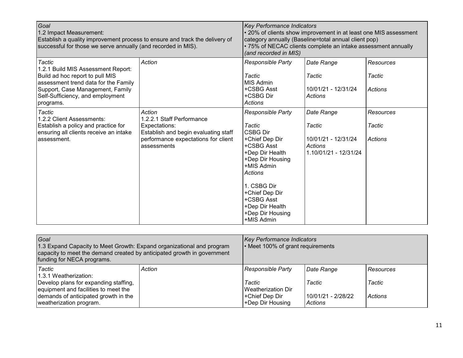| Goal<br>1.2 Impact Measurement:<br>Establish a quality improvement process to ensure and track the delivery of<br>successful for those we serve annually (and recorded in MIS).                              |                                                                                                                                                    | Key Performance Indicators<br>• 20% of clients show improvement in at least one MIS assessment<br>category annually (Baseline=total annual client pop)<br>• 75% of NECAC clients complete an intake assessment annually<br>(and recorded in MIS)          |                                                                                 |                                       |
|--------------------------------------------------------------------------------------------------------------------------------------------------------------------------------------------------------------|----------------------------------------------------------------------------------------------------------------------------------------------------|-----------------------------------------------------------------------------------------------------------------------------------------------------------------------------------------------------------------------------------------------------------|---------------------------------------------------------------------------------|---------------------------------------|
| Tactic<br>1.2.1 Build MIS Assessment Report:<br>Build ad hoc report to pull MIS<br>assessment trend data for the Family<br>Support, Case Management, Family<br>Self-Sufficiency, and employment<br>programs. | Action                                                                                                                                             | Responsible Party<br>Tactic<br><b>MIS Admin</b><br>+CSBG Asst<br>+CSBG Dir<br><b>Actions</b>                                                                                                                                                              | Date Range<br>Tactic<br>10/01/21 - 12/31/24<br>Actions                          | <b>Resources</b><br>Tactic<br>Actions |
| <b>Tactic</b><br>1.2.2 Client Assessments:<br>Establish a policy and practice for<br>ensuring all clients receive an intake<br>lassessment.                                                                  | Action<br>1.2.2.1 Staff Performance<br>Expectations:<br>Establish and begin evaluating staff<br>performance expectations for client<br>assessments | Responsible Party<br>Tactic<br><b>CSBG Dir</b><br>+Chief Dep Dir<br>+CSBG Asst<br>+Dep Dir Health<br>+Dep Dir Housing<br>+MIS Admin<br><b>Actions</b><br>1. CSBG Dir<br>+Chief Dep Dir<br>+CSBG Asst<br>+Dep Dir Health<br>+Dep Dir Housing<br>+MIS Admin | Date Range<br>Tactic<br>10/01/21 - 12/31/24<br>Actions<br>1.10/01/21 - 12/31/24 | <b>Resources</b><br>Tactic<br>Actions |

| Goal<br>1.3 Expand Capacity to Meet Growth: Expand organizational and program<br>capacity to meet the demand created by anticipated growth in government<br>funding for NECA programs. |        | <b>Key Performance Indicators</b><br>• Meet 100% of grant requirements |                                      |                     |
|----------------------------------------------------------------------------------------------------------------------------------------------------------------------------------------|--------|------------------------------------------------------------------------|--------------------------------------|---------------------|
| Tactic<br>I1.3.1 Weatherization:<br>Develop plans for expanding staffing,                                                                                                              | Action | <b>Responsible Party</b><br>Tactic                                     | Date Range<br>Tactic                 | Resources<br>Tactic |
| equipment and facilities to meet the<br>demands of anticipated growth in the<br>weatherization program.                                                                                |        | Weatherization Dir<br>+Chief Dep Dir<br>+Dep Dir Housing               | 10/01/21 - 2/28/22<br><b>Actions</b> | Actions             |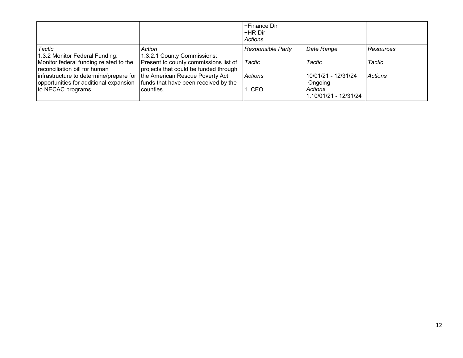|                                                                                                                     |                                                                                | +Finance Dir<br>+HR Dir<br>Actions |                                  |                |
|---------------------------------------------------------------------------------------------------------------------|--------------------------------------------------------------------------------|------------------------------------|----------------------------------|----------------|
| Tactic<br>1.3.2 Monitor Federal Funding:                                                                            | Action<br>1.3.2.1 County Commissions:                                          | <b>Responsible Party</b>           | Date Range                       | Resources      |
| Monitor federal funding related to the<br>reconciliation bill for human                                             | Present to county commissions list of<br>projects that could be funded through | Tactic                             | Tactic                           | Tactic         |
| infrastructure to determine/prepare for   the American Rescue Poverty Act<br>opportunities for additional expansion | funds that have been received by the                                           | Actions                            | 10/01/21 - 12/31/24<br>-Ongoing  | <b>Actions</b> |
| to NECAC programs.                                                                                                  | counties.                                                                      | 1. CEO                             | Actions<br>1.10/01/21 - 12/31/24 |                |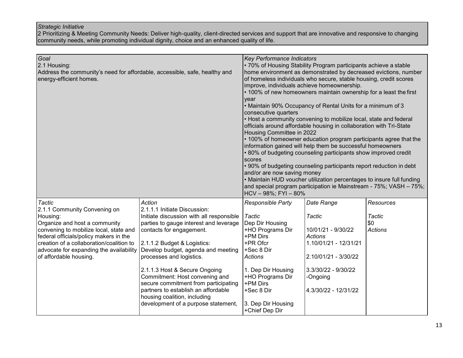2 Prioritizing & Meeting Community Needs: Deliver high-quality, client-directed services and support that are innovative and responsive to changing community needs, while promoting individual dignity, choice and an enhanced quality of life.

| Goal<br>2.1 Housing:<br>Address the community's need for affordable, accessible, safe, healthy and<br>energy-efficient homes.                                                                                                                                                                   |                                                                                                                                                                                                                                                                                                                                                                                                                                                                                    | <b>Key Performance Indicators</b><br>• 70% of Housing Stability Program participants achieve a stable<br>home environment as demonstrated by decreased evictions, number<br>of homeless individuals who secure, stable housing, credit scores<br>improve, individuals achieve homeownership.<br>• 100% of new homeowners maintain ownership for a least the first<br>year<br>• Maintain 90% Occupancy of Rental Units for a minimum of 3<br>consecutive quarters<br>• Host a community convening to mobilize local, state and federal<br>officials around affordable housing in collaboration with Tri-State<br>Housing Committee in 2022<br>• 100% of homeowner education program participants agree that the<br>information gained will help them be successful homeowners<br>.80% of budgeting counseling participants show improved credit<br>scores<br>• 90% of budgeting counseling participants report reduction in debt<br>and/or are now saving money<br>• Maintain HUD voucher utilization percentages to insure full funding<br>and special program participation ie Mainstream - 75%; VASH - 75%; |                                                                                                                                                                   |                                              |
|-------------------------------------------------------------------------------------------------------------------------------------------------------------------------------------------------------------------------------------------------------------------------------------------------|------------------------------------------------------------------------------------------------------------------------------------------------------------------------------------------------------------------------------------------------------------------------------------------------------------------------------------------------------------------------------------------------------------------------------------------------------------------------------------|---------------------------------------------------------------------------------------------------------------------------------------------------------------------------------------------------------------------------------------------------------------------------------------------------------------------------------------------------------------------------------------------------------------------------------------------------------------------------------------------------------------------------------------------------------------------------------------------------------------------------------------------------------------------------------------------------------------------------------------------------------------------------------------------------------------------------------------------------------------------------------------------------------------------------------------------------------------------------------------------------------------------------------------------------------------------------------------------------------------|-------------------------------------------------------------------------------------------------------------------------------------------------------------------|----------------------------------------------|
| <b>Tactic</b><br>2.1.1 Community Convening on<br>Housing:<br>Organize and host a community<br>convening to mobilize local, state and<br>federal officials/policy makers in the<br>creation of a collaboration/coalition to<br>advocate for expanding the availability<br>of affordable housing. | Action<br>2.1.1.1 Initiate Discussion:<br>Initiate discussion with all responsible<br>parties to gauge interest and leverage<br>contacts for engagement.<br>2.1.1.2 Budget & Logistics:<br>Develop budget, agenda and meeting<br>processes and logistics.<br>2.1.1.3 Host & Secure Ongoing<br>Commitment: Host convening and<br>secure commitment from participating<br>partners to establish an affordable<br>housing coalition, including<br>development of a purpose statement, | Responsible Party<br>Tactic<br>Dep Dir Housing<br>+HO Programs Dir<br>+PM Dirs<br>+PR Ofcr<br>+Sec 8 Dir<br><b>Actions</b><br>1. Dep Dir Housing<br>+HO Programs Dir<br>+PM Dirs<br>+Sec 8 Dir<br>3. Dep Dir Housing<br>+Chief Dep Dir                                                                                                                                                                                                                                                                                                                                                                                                                                                                                                                                                                                                                                                                                                                                                                                                                                                                        | Date Range<br>Tactic<br>10/01/21 - 9/30/22<br>Actions<br>1.10/01/21 - 12/31/21<br>2.10/01/21 - 3/30/22<br>3.3/30/22 - 9/30/22<br>-Ongoing<br>4.3/30/22 - 12/31/22 | Resources<br>Tactic<br>\$0<br><b>Actions</b> |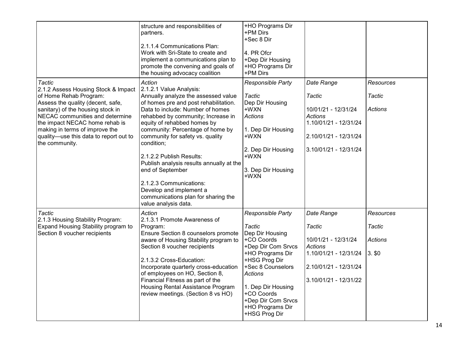|                                                                                                                                                                                                                                                                                                                             | structure and responsibilities of<br>partners.<br>2.1.1.4 Communications Plan:<br>Work with Sri-State to create and<br>implement a communications plan to<br>promote the convening and goals of<br>the housing advocacy coalition                                                                                                                                                                                                                                                                                                 | +HO Programs Dir<br>+PM Dirs<br>+Sec 8 Dir<br>4. PR Ofcr<br>+Dep Dir Housing<br>+HO Programs Dir<br>+PM Dirs                                                                                                                                                  |                                                                                                                                            |                                                   |
|-----------------------------------------------------------------------------------------------------------------------------------------------------------------------------------------------------------------------------------------------------------------------------------------------------------------------------|-----------------------------------------------------------------------------------------------------------------------------------------------------------------------------------------------------------------------------------------------------------------------------------------------------------------------------------------------------------------------------------------------------------------------------------------------------------------------------------------------------------------------------------|---------------------------------------------------------------------------------------------------------------------------------------------------------------------------------------------------------------------------------------------------------------|--------------------------------------------------------------------------------------------------------------------------------------------|---------------------------------------------------|
| <b>Tactic</b><br>2.1.2 Assess Housing Stock & Impact<br>of Home Rehab Program:<br>Assess the quality (decent, safe,<br>sanitary) of the housing stock in<br>NECAC communities and determine<br>the impact NECAC home rehab is<br>making in terms of improve the<br>quality-use this data to report out to<br>the community. | Action<br>2.1.2.1 Value Analysis:<br>Annually analyze the assessed value<br>of homes pre and post rehabilitation.<br>Data to include: Number of homes<br>rehabbed by community; Increase in<br>equity of rehabbed homes by<br>community: Percentage of home by<br>community for safety vs. quality<br>condition;<br>2.1.2.2 Publish Results:<br>Publish analysis results annually at the<br>end of September<br>2.1.2.3 Communications:<br>Develop and implement a<br>communications plan for sharing the<br>value analysis data. | Responsible Party<br><b>Tactic</b><br>Dep Dir Housing<br>+WXN<br><b>Actions</b><br>1. Dep Dir Housing<br>+WXN<br>2. Dep Dir Housing<br>+WXN<br>3. Dep Dir Housing<br>+WXN                                                                                     | Date Range<br>Tactic<br>10/01/21 - 12/31/24<br>Actions<br>1.10/01/21 - 12/31/24<br>2.10/01/21 - 12/31/24<br>3.10/01/21 - 12/31/24          | <b>Resources</b><br>Tactic<br>Actions             |
| <b>Tactic</b><br>2.1.3 Housing Stability Program:<br>Expand Housing Stability program to<br>Section 8 voucher recipients                                                                                                                                                                                                    | Action<br>2.1.3.1 Promote Awareness of<br>Program:<br>Ensure Section 8 counselors promote<br>aware of Housing Stability program to<br>Section 8 voucher recipients<br>2.1.3.2 Cross-Education:<br>Incorporate quarterly cross-education<br>of employees on HO, Section 8,<br>Financial Fitness as part of the<br>Housing Rental Assistance Program<br>review meetings. (Section 8 vs HO)                                                                                                                                          | Responsible Party<br>Tactic<br>Dep Dir Housing<br>+CO Coords<br>+Dep Dir Com Srvcs<br>+HO Programs Dir<br>+HSG Prog Dir<br>+Sec 8 Counselors<br><b>Actions</b><br>1. Dep Dir Housing<br>+CO Coords<br>+Dep Dir Com Srvcs<br>+HO Programs Dir<br>+HSG Prog Dir | Date Range<br>Tactic<br>10/01/21 - 12/31/24<br><b>Actions</b><br>1.10/01/21 - 12/31/24<br>2.10/01/21 - 12/31/24<br>$3.10/01/21 - 12/31/22$ | Resources<br>Tactic<br><b>Actions</b><br>$3.$ \$0 |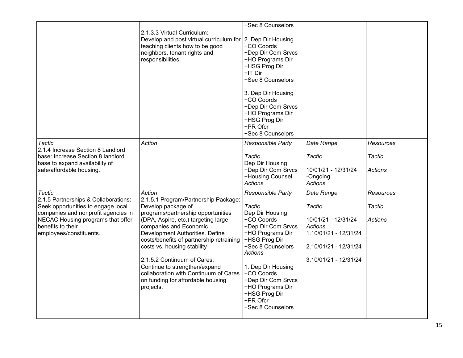|                                                                                                                                                                                                                         | 2.1.3.3 Virtual Curriculum:<br>Develop and post virtual curriculum for 2. Dep Dir Housing<br>teaching clients how to be good<br>neighbors, tenant rights and<br>responsibilities                                                                                                                                                                                                                                                                     | +Sec 8 Counselors<br>+CO Coords<br>+Dep Dir Com Srvcs<br>+HO Programs Dir<br>+HSG Prog Dir<br>+IT Dir<br>+Sec 8 Counselors<br>3. Dep Dir Housing<br>+CO Coords<br>+Dep Dir Com Srvcs<br>+HO Programs Dir<br>+HSG Prog Dir<br>+PR Ofcr<br>+Sec 8 Counselors                                            |                                                                                                                                   |                                       |
|-------------------------------------------------------------------------------------------------------------------------------------------------------------------------------------------------------------------------|------------------------------------------------------------------------------------------------------------------------------------------------------------------------------------------------------------------------------------------------------------------------------------------------------------------------------------------------------------------------------------------------------------------------------------------------------|-------------------------------------------------------------------------------------------------------------------------------------------------------------------------------------------------------------------------------------------------------------------------------------------------------|-----------------------------------------------------------------------------------------------------------------------------------|---------------------------------------|
| Tactic<br>2.1.4 Increase Section 8 Landlord<br>base: Increase Section 8 landlord<br>base to expand availability of<br>safe/affordable housing.                                                                          | Action                                                                                                                                                                                                                                                                                                                                                                                                                                               | Responsible Party<br>Tactic<br>Dep Dir Housing<br>+Dep Dir Com Srvcs<br>+Housing Counsel<br><b>Actions</b>                                                                                                                                                                                            | Date Range<br>Tactic<br>10/01/21 - 12/31/24<br>-Ongoing<br><b>Actions</b>                                                         | Resources<br>Tactic<br><b>Actions</b> |
| <b>Tactic</b><br>2.1.5 Partnerships & Collaborations:<br>Seek opportunities to engage local<br>companies and nonprofit agencies in<br>NECAC Housing programs that offer<br>benefits to their<br>employees/constituents. | Action<br>2.1.5.1 Program/Partnership Package:<br>Develop package of<br>programs/partnership opportunities<br>(DPA, Aspire, etc.) targeting large<br>companies and Economic<br>Development Authorities. Define<br>costs/benefits of partnership retraining<br>costs vs. housing stability<br>2.1.5.2 Continuum of Cares:<br>Continue to strengthen/expand<br>collaboration with Continuum of Cares<br>on funding for affordable housing<br>projects. | Responsible Party<br><b>Tactic</b><br>Dep Dir Housing<br>+CO Coords<br>+Dep Dir Com Srvcs<br>+HO Programs Dir<br>+HSG Prog Dir<br>+Sec 8 Counselors<br><b>Actions</b><br>1. Dep Dir Housing<br>+CO Coords<br>+Dep Dir Com Srvcs<br>+HO Programs Dir<br>+HSG Prog Dir<br>+PR Ofcr<br>+Sec 8 Counselors | Date Range<br>Tactic<br>10/01/21 - 12/31/24<br>Actions<br>1.10/01/21 - 12/31/24<br>2.10/01/21 - 12/31/24<br>3.10/01/21 - 12/31/24 | Resources<br>Tactic<br><b>Actions</b> |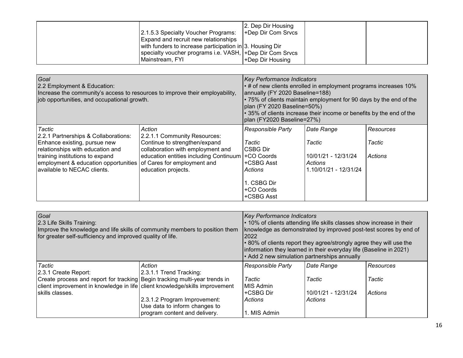| 2.1.5.3 Specialty Voucher Programs:<br>Expand and recruit new relationships                                                               | 2. Dep Dir Housing<br>+Dep Dir Com Srvcs |  |
|-------------------------------------------------------------------------------------------------------------------------------------------|------------------------------------------|--|
| with funders to increase participation in 3. Housing Dir<br>specialty voucher programs i.e. VASH, +Dep Dir Com Srvcs<br>l Mainstream. FYI | +Dep Dir Housing                         |  |

| Goal<br>2.2 Employment & Education:<br>Increase the community's access to resources to improve their employability,<br>job opportunities, and occupational growth.                                                                                       |                                                                                                                                                                               | <b>Key Performance Indicators</b><br>$\cdot$ # of new clients enrolled in employment programs increases 10%<br>annually (FY 2020 Baseline=188)<br>• 75% of clients maintain employment for 90 days by the end of the<br>plan (FY 2020 Baseline=50%)<br>$\cdot$ 35% of clients increase their income or benefits by the end of the<br>plan (FY2020 Baseline=27%) |                                                                                 |                                |
|----------------------------------------------------------------------------------------------------------------------------------------------------------------------------------------------------------------------------------------------------------|-------------------------------------------------------------------------------------------------------------------------------------------------------------------------------|-----------------------------------------------------------------------------------------------------------------------------------------------------------------------------------------------------------------------------------------------------------------------------------------------------------------------------------------------------------------|---------------------------------------------------------------------------------|--------------------------------|
| Tactic<br>2.2.1 Partnerships & Collaborations:<br>Enhance existing, pursue new<br>relationships with education and<br>training institutions to expand<br>employment & education opportunities of Cares for employment and<br>available to NECAC clients. | Action<br>2.2.1.1 Community Resources:<br>Continue to strengthen/expand<br>collaboration with employment and<br>education entities including Continuum<br>education projects. | <b>Responsible Party</b><br>Tactic<br>CSBG Dir<br>+CO Coords<br>+CSBG Asst<br><b>Actions</b><br>. CSBG Dir<br>+CO Coords<br>+CSBG Asst                                                                                                                                                                                                                          | Date Range<br>Tactic<br>10/01/21 - 12/31/24<br>Actions<br>1.10/01/21 - 12/31/24 | Resources<br>Tactic<br>Actions |

| Goal<br>2.3 Life Skills Training:<br>Improve the knowledge and life skills of community members to position them<br>for greater self-sufficiency and improved quality of life. |                               | <b>Key Performance Indicators</b><br>• 10% of clients attending life skills classes show increase in their<br>knowledge as demonstrated by improved post-test scores by end of<br>2022<br>• 80% of clients report they agree/strongly agree they will use the<br>information they learned in their everyday life (Baseline in 2021)<br>• Add 2 new simulation partnerships annually |                     |                |
|--------------------------------------------------------------------------------------------------------------------------------------------------------------------------------|-------------------------------|-------------------------------------------------------------------------------------------------------------------------------------------------------------------------------------------------------------------------------------------------------------------------------------------------------------------------------------------------------------------------------------|---------------------|----------------|
| Tactic                                                                                                                                                                         | Action                        | <b>Responsible Party</b>                                                                                                                                                                                                                                                                                                                                                            | Date Range          | Resources      |
| 2.3.1 Create Report:                                                                                                                                                           | 2.3.1.1 Trend Tracking:       |                                                                                                                                                                                                                                                                                                                                                                                     |                     |                |
| Create process and report for tracking Begin tracking multi-year trends in                                                                                                     |                               | Tactic                                                                                                                                                                                                                                                                                                                                                                              | Tactic              | Tactic         |
| client improvement in knowledge in life client knowledge/skills improvement                                                                                                    |                               | MIS Admin                                                                                                                                                                                                                                                                                                                                                                           |                     |                |
| skills classes.                                                                                                                                                                |                               | +CSBG Dir                                                                                                                                                                                                                                                                                                                                                                           | 10/01/21 - 12/31/24 | <b>Actions</b> |
|                                                                                                                                                                                | 2.3.1.2 Program Improvement:  | Actions                                                                                                                                                                                                                                                                                                                                                                             | Actions             |                |
|                                                                                                                                                                                | Use data to inform changes to |                                                                                                                                                                                                                                                                                                                                                                                     |                     |                |
|                                                                                                                                                                                | program content and delivery. | . MIS Admin                                                                                                                                                                                                                                                                                                                                                                         |                     |                |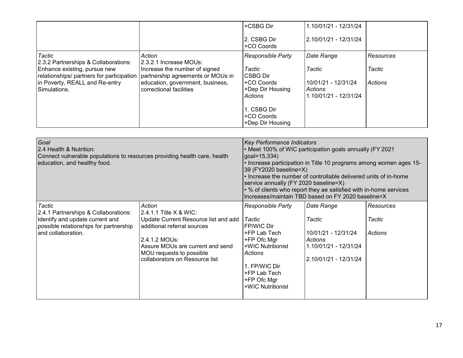|                                                                                                             |                                                             | +CSBG Dir<br>2. CSBG Dir                         | 1.10/01/21 - 12/31/24<br>2.10/01/21 - 12/31/24          |                |
|-------------------------------------------------------------------------------------------------------------|-------------------------------------------------------------|--------------------------------------------------|---------------------------------------------------------|----------------|
|                                                                                                             |                                                             | +CO Coords                                       |                                                         |                |
| Tactic<br>2.3.2 Partnerships & Collaborations:                                                              | Action<br>2.3.2.1 Increase MOUs:                            | <b>Responsible Party</b>                         | Date Range                                              | Resources      |
| Enhance existing, pursue new<br>relationships/ partners for participation partnership agreements or MOUs in | Increase the number of signed                               | Tactic<br>CSBG Dir                               | Tactic                                                  | Tactic         |
| in Poverty, REALL and Re-entry<br>Simulations.                                                              | education, government, business,<br>correctional facilities | +CO Coords<br>+Dep Dir Housing<br><b>Actions</b> | 10/01/21 - 12/31/24<br>Actions<br>1.10/01/21 - 12/31/24 | <b>Actions</b> |
|                                                                                                             |                                                             | 1. CSBG Dir<br>+CO Coords<br>+Dep Dir Housing    |                                                         |                |

| Goal<br>2.4 Health & Nutrition:<br>Connect vulnerable populations to resources providing health care, health<br>education, and healthy food.      |                                                                                                                                                                                                                               | Key Performance Indicators<br>• Meet 100% of WIC participation goals annually (FY 2021<br>$goal=15,334)$<br>• Increase participation in Title 10 programs among women ages 15-<br>39 (FY2020 baseline=X)<br>• Increase the number of controllable delivered units of in-home<br>service annually (FY 2020 baseline=X)<br>• % of clients who report they ae satisfied with in-home services<br>Increases/maintain TBD based on FY 2020 baseline=X |                                                                                                           |                                       |
|---------------------------------------------------------------------------------------------------------------------------------------------------|-------------------------------------------------------------------------------------------------------------------------------------------------------------------------------------------------------------------------------|--------------------------------------------------------------------------------------------------------------------------------------------------------------------------------------------------------------------------------------------------------------------------------------------------------------------------------------------------------------------------------------------------------------------------------------------------|-----------------------------------------------------------------------------------------------------------|---------------------------------------|
| Tactic<br>2.4.1 Partnerships & Collaborations:<br>Identify and update current and<br>possible relationships for partnership<br>and collaboration. | Action<br>$12.4.1.1$ Title X & WIC:<br>Update Current Resource list and add<br>additional referral sources<br>2.4.1.2 MOUs:<br>Assure MOUs are current and send<br>MOU requests to possible<br>collaborators on Resource list | <b>Responsible Party</b><br>Tactic<br>FP/WIC Dir<br>+FP Lab Tech<br>+FP Ofc Mgr<br>+WIC Nutritionist<br>Actions<br>1. FP/WIC Dir<br>+FP Lab Tech<br>+FP Ofc Mgr<br>+WIC Nutritionist                                                                                                                                                                                                                                                             | Date Range<br>Tactic<br>10/01/21 - 12/31/24<br>Actions<br>1.10/01/21 - 12/31/24<br> 2.10/01/21 - 12/31/24 | <b>Resources</b><br>Tactic<br>Actions |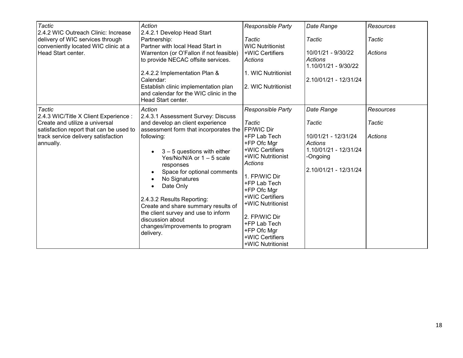| Tactic<br>2.4.2 WIC Outreach Clinic: Increase<br>delivery of WIC services through<br>conveniently located WIC clinic at a<br>Head Start center.                                  | Action<br>2.4.2.1 Develop Head Start<br>Partnership:<br>Partner with local Head Start in<br>Warrenton (or O'Fallon if not feasible)<br>to provide NECAC offsite services.<br>2.4.2.2 Implementation Plan &<br>Calendar:<br>Establish clinic implementation plan<br>and calendar for the WIC clinic in the<br>Head Start center.                                                                                                                                   | <b>Responsible Party</b><br><b>Tactic</b><br><b>WIC Nutritionist</b><br>+WIC Certifiers<br>Actions<br>1. WIC Nutritionist<br>2. WIC Nutritionist                                                                                                                                                                          | Date Range<br>Tactic<br>10/01/21 - 9/30/22<br><b>Actions</b><br>1.10/01/21 - 9/30/22<br>2.10/01/21 - 12/31/24        | <b>Resources</b><br>Tactic<br><b>Actions</b> |
|----------------------------------------------------------------------------------------------------------------------------------------------------------------------------------|-------------------------------------------------------------------------------------------------------------------------------------------------------------------------------------------------------------------------------------------------------------------------------------------------------------------------------------------------------------------------------------------------------------------------------------------------------------------|---------------------------------------------------------------------------------------------------------------------------------------------------------------------------------------------------------------------------------------------------------------------------------------------------------------------------|----------------------------------------------------------------------------------------------------------------------|----------------------------------------------|
| Tactic<br>2.4.3 WIC/Title X Client Experience :<br>Create and utilize a universal<br>satisfaction report that can be used to<br>track service delivery satisfaction<br>annually. | Action<br>2.4.3.1 Assessment Survey: Discuss<br>and develop an client experience<br>assessment form that incorporates the<br>following:<br>$3 - 5$ questions with either<br>Yes/No/N/A or $1 - 5$ scale<br>responses<br>Space for optional comments<br>No Signatures<br>Date Only<br>2.4.3.2 Results Reporting:<br>Create and share summary results of<br>the client survey and use to inform<br>discussion about<br>changes/improvements to program<br>delivery. | <b>Responsible Party</b><br>Tactic<br><b>FP/WIC Dir</b><br>+FP Lab Tech<br>+FP Ofc Mgr<br>+WIC Certifiers<br>+WIC Nutritionist<br>Actions<br>1. FP/WIC Dir<br>+FP Lab Tech<br>+FP Ofc Mgr<br>+WIC Certifiers<br>+WIC Nutritionist<br>2. FP/WIC Dir<br>+FP Lab Tech<br>+FP Ofc Mgr<br>+WIC Certifiers<br>+WIC Nutritionist | Date Range<br>Tactic<br>10/01/21 - 12/31/24<br>Actions<br>1.10/01/21 - 12/31/24<br>-Ongoing<br>2.10/01/21 - 12/31/24 | Resources<br>Tactic<br><b>Actions</b>        |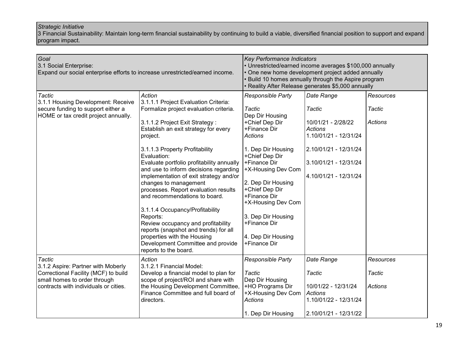3 Financial Sustainability: Maintain long-term financial sustainability by continuing to build a viable, diversified financial position to support and expand program impact.

| Goal<br>3.1 Social Enterprise:<br>Expand our social enterprise efforts to increase unrestricted/earned income.                                                       |                                                                                                                                                                                                                                                                                                                                                                                                                                                                                                                                                                                                                                                                                              | Key Performance Indicators<br>• Unrestricted/earned income averages \$100,000 annually<br>• One new home development project added annually<br>Build 10 homes annually through the Aspire program<br>• Reality After Release generates \$5,000 annually                                                                                    |                                                                                                                                                                  |                                              |
|----------------------------------------------------------------------------------------------------------------------------------------------------------------------|----------------------------------------------------------------------------------------------------------------------------------------------------------------------------------------------------------------------------------------------------------------------------------------------------------------------------------------------------------------------------------------------------------------------------------------------------------------------------------------------------------------------------------------------------------------------------------------------------------------------------------------------------------------------------------------------|--------------------------------------------------------------------------------------------------------------------------------------------------------------------------------------------------------------------------------------------------------------------------------------------------------------------------------------------|------------------------------------------------------------------------------------------------------------------------------------------------------------------|----------------------------------------------|
| Tactic<br>3.1.1 Housing Development: Receive<br>secure funding to support either a<br>HOME or tax credit project annually.                                           | Action<br>3.1.1.1 Project Evaluation Criteria:<br>Formalize project evaluation criteria.<br>3.1.1.2 Project Exit Strategy:<br>Establish an exit strategy for every<br>project.<br>3.1.1.3 Property Profitability<br>Evaluation:<br>Evaluate portfolio profitability annually<br>and use to inform decisions regarding<br>implementation of exit strategy and/or<br>changes to management<br>processes. Report evaluation results<br>and recommendations to board.<br>3.1.1.4 Occupancy/Profitability<br>Reports:<br>Review occupancy and profitability<br>reports (snapshot and trends) for all<br>properties with the Housing<br>Development Committee and provide<br>reports to the board. | Responsible Party<br>Tactic<br>Dep Dir Housing<br>+Chief Dep Dir<br>+Finance Dir<br><b>Actions</b><br>1. Dep Dir Housing<br>+Chief Dep Dir<br>+Finance Dir<br>+X-Housing Dev Com<br>2. Dep Dir Housing<br>+Chief Dep Dir<br>+Finance Dir<br>+X-Housing Dev Com<br>3. Dep Dir Housing<br>+Finance Dir<br>4. Dep Dir Housing<br>+Finance Dir | Date Range<br>Tactic<br>10/01/21 - 2/28/22<br><b>Actions</b><br>1.10/01/21 - 12/31/24<br>2.10/01/21 - 12/31/24<br>3.10/01/21 - 12/31/24<br>4.10/01/21 - 12/31/24 | Resources<br>Tactic<br><b>Actions</b>        |
| <b>Tactic</b><br>3.1.2 Aspire: Partner with Moberly<br>Correctional Facility (MCF) to build<br>small homes to order through<br>contracts with individuals or cities. | Action<br>3.1.2.1 Financial Model:<br>Develop a financial model to plan for<br>scope of project/ROI and share with<br>the Housing Development Committee,<br>Finance Committee and full board of<br>directors.                                                                                                                                                                                                                                                                                                                                                                                                                                                                                | Responsible Party<br><b>Tactic</b><br>Dep Dir Housing<br>+HO Programs Dir<br>+X-Housing Dev Com<br><b>Actions</b><br>1. Dep Dir Housing                                                                                                                                                                                                    | Date Range<br>Tactic<br>10/01/22 - 12/31/24<br>Actions<br>1.10/01/22 - 12/31/24<br>2.10/01/21 - 12/31/22                                                         | <b>Resources</b><br>Tactic<br><b>Actions</b> |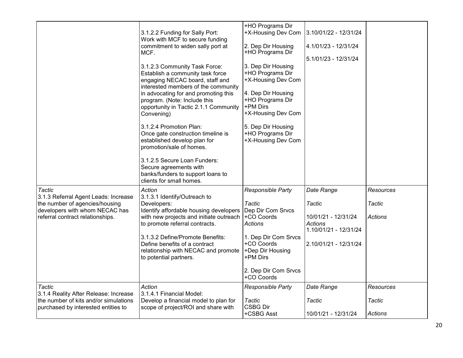|                                                                              | 3.1.2.2 Funding for Sally Port:<br>Work with MCF to secure funding<br>commitment to widen sally port at<br>MCF.<br>3.1.2.3 Community Task Force:<br>Establish a community task force<br>engaging NECAC board, staff and<br>interested members of the community<br>in advocating for and promoting this<br>program. (Note: Include this<br>opportunity in Tactic 2.1.1 Community<br>Convening) | +HO Programs Dir<br>+X-Housing Dev Com<br>2. Dep Dir Housing<br>+HO Programs Dir<br>3. Dep Dir Housing<br>+HO Programs Dir<br>+X-Housing Dev Com<br>4. Dep Dir Housing<br>+HO Programs Dir<br>+PM Dirs<br>+X-Housing Dev Com | 3.10/01/22 - 12/31/24<br>4.1/01/23 - 12/31/24<br>5.1/01/23 - 12/31/24 |           |
|------------------------------------------------------------------------------|-----------------------------------------------------------------------------------------------------------------------------------------------------------------------------------------------------------------------------------------------------------------------------------------------------------------------------------------------------------------------------------------------|------------------------------------------------------------------------------------------------------------------------------------------------------------------------------------------------------------------------------|-----------------------------------------------------------------------|-----------|
|                                                                              | 3.1.2.4 Promotion Plan:<br>Once gate construction timeline is<br>established develop plan for<br>promotion/sale of homes.<br>3.1.2.5 Secure Loan Funders:<br>Secure agreements with<br>banks/funders to support loans to<br>clients for small homes.                                                                                                                                          | 5. Dep Dir Housing<br>+HO Programs Dir<br>+X-Housing Dev Com                                                                                                                                                                 |                                                                       |           |
| <b>Tactic</b><br>3.1.3 Referral Agent Leads: Increase                        | Action<br>3.1.3.1 Identify/Outreach to                                                                                                                                                                                                                                                                                                                                                        | Responsible Party                                                                                                                                                                                                            | Date Range                                                            | Resources |
| the number of agencies/housing<br>developers with whom NECAC has             | Developers:<br>Identify affordable housing developers                                                                                                                                                                                                                                                                                                                                         | Tactic<br>Dep Dir Com Srvcs                                                                                                                                                                                                  | Tactic                                                                | Tactic    |
| referral contract relationships.                                             | with new projects and initiate outreach<br>to promote referral contracts.                                                                                                                                                                                                                                                                                                                     | +CO Coords<br><b>Actions</b>                                                                                                                                                                                                 | 10/01/21 - 12/31/24<br>Actions<br>1.10/01/21 - 12/31/24               | Actions   |
|                                                                              | 3.1.3.2 Define/Promote Benefits:<br>Define benefits of a contract<br>relationship with NECAC and promote<br>to potential partners.                                                                                                                                                                                                                                                            | 1. Dep Dir Com Srvcs<br>+CO Coords<br>+Dep Dir Housing<br>+PM Dirs                                                                                                                                                           | 2.10/01/21 - 12/31/24                                                 |           |
|                                                                              |                                                                                                                                                                                                                                                                                                                                                                                               | 2. Dep Dir Com Srvcs<br>+CO Coords                                                                                                                                                                                           |                                                                       |           |
| Tactic<br>3.1.4 Reality After Release: Increase                              | Action<br>3.1.4.1 Financial Model:                                                                                                                                                                                                                                                                                                                                                            | <b>Responsible Party</b>                                                                                                                                                                                                     | Date Range                                                            | Resources |
| the number of kits and/or simulations<br>purchased by interested entities to | Develop a financial model to plan for<br>scope of project/ROI and share with                                                                                                                                                                                                                                                                                                                  | Tactic<br><b>CSBG Dir</b>                                                                                                                                                                                                    | Tactic                                                                | Tactic    |
|                                                                              |                                                                                                                                                                                                                                                                                                                                                                                               | +CSBG Asst                                                                                                                                                                                                                   | 10/01/21 - 12/31/24                                                   | Actions   |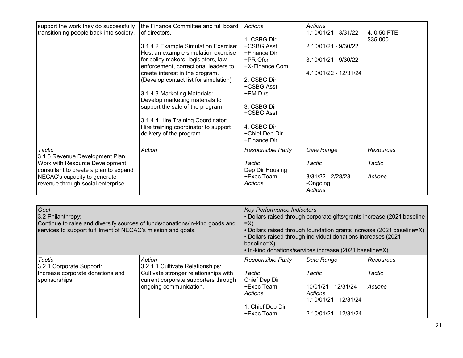| support the work they do successfully<br>transitioning people back into society. | the Finance Committee and full board<br>of directors. | Actions                  | Actions<br>1.10/01/21 - 3/31/22 | 4.0.50 FTE     |
|----------------------------------------------------------------------------------|-------------------------------------------------------|--------------------------|---------------------------------|----------------|
|                                                                                  |                                                       | 1. CSBG Dir              |                                 | \$35,000       |
|                                                                                  | 3.1.4.2 Example Simulation Exercise:                  | +CSBG Asst               | 2.10/01/21 - 9/30/22            |                |
|                                                                                  | Host an example simulation exercise                   | +Finance Dir             |                                 |                |
|                                                                                  | for policy makers, legislators, law                   | +PR Ofcr                 | 3.10/01/21 - 9/30/22            |                |
|                                                                                  | enforcement, correctional leaders to                  | +X-Finance Com           |                                 |                |
|                                                                                  | create interest in the program.                       |                          | 4.10/01/22 - 12/31/24           |                |
|                                                                                  | (Develop contact list for simulation)                 | 2. CSBG Dir              |                                 |                |
|                                                                                  |                                                       | +CSBG Asst               |                                 |                |
|                                                                                  | 3.1.4.3 Marketing Materials:                          | +PM Dirs                 |                                 |                |
|                                                                                  | Develop marketing materials to                        |                          |                                 |                |
|                                                                                  | support the sale of the program.                      | 3. CSBG Dir              |                                 |                |
|                                                                                  |                                                       | +CSBG Asst               |                                 |                |
|                                                                                  | 3.1.4.4 Hire Training Coordinator:                    |                          |                                 |                |
|                                                                                  | Hire training coordinator to support                  | 4. CSBG Dir              |                                 |                |
|                                                                                  | delivery of the program                               | +Chief Dep Dir           |                                 |                |
|                                                                                  |                                                       | +Finance Dir             |                                 |                |
| Tactic                                                                           | Action                                                | <b>Responsible Party</b> | Date Range                      | Resources      |
| 3.1.5 Revenue Development Plan:                                                  |                                                       |                          |                                 |                |
| Work with Resource Development                                                   |                                                       | Tactic                   | Tactic                          | Tactic         |
| consultant to create a plan to expand                                            |                                                       | Dep Dir Housing          |                                 |                |
| NECAC's capacity to generate                                                     |                                                       | +Exec Team               | 3/31/22 - 2/28/23               | <b>Actions</b> |
| revenue through social enterprise.                                               |                                                       | Actions                  | -Ongoing                        |                |
|                                                                                  |                                                       |                          | <b>Actions</b>                  |                |

| Goal<br>3.2 Philanthropy:<br>Continue to raise and diversify sources of funds/donations/in-kind goods and<br>services to support fulfillment of NECAC's mission and goals. |                                                                               | <b>Key Performance Indicators</b><br>• Dollars raised through corporate gifts/grants increase (2021 baseline<br>$\ket{=X}$<br>$\cdot$ Dollars raised through foundation grants increase (2021 baseline=X)<br>• Dollars raised through individual donations increases (2021<br>(baseline=X)<br>$\cdot$ In-kind donations/services increase (2021 baseline=X) |                                                           |           |
|----------------------------------------------------------------------------------------------------------------------------------------------------------------------------|-------------------------------------------------------------------------------|-------------------------------------------------------------------------------------------------------------------------------------------------------------------------------------------------------------------------------------------------------------------------------------------------------------------------------------------------------------|-----------------------------------------------------------|-----------|
| Tactic<br>3.2.1 Corporate Support:                                                                                                                                         | Action<br>3.2.1.1 Cultivate Relationships:                                    | <b>Responsible Party</b>                                                                                                                                                                                                                                                                                                                                    | Date Range                                                | Resources |
| Increase corporate donations and<br>sponsorships.                                                                                                                          | Cultivate stronger relationships with<br>current corporate supporters through | Tactic<br>Chief Dep Dir                                                                                                                                                                                                                                                                                                                                     | Tactic                                                    | Tactic    |
|                                                                                                                                                                            | ongoing communication.                                                        | l+Exec Team<br>Actions                                                                                                                                                                                                                                                                                                                                      | 10/01/21 - 12/31/24<br>Actions<br>l 1.10/01/21 - 12/31/24 | Actions   |
|                                                                                                                                                                            |                                                                               | 1. Chief Dep Dir<br>+Exec Team                                                                                                                                                                                                                                                                                                                              | 2.10/01/21 - 12/31/24                                     |           |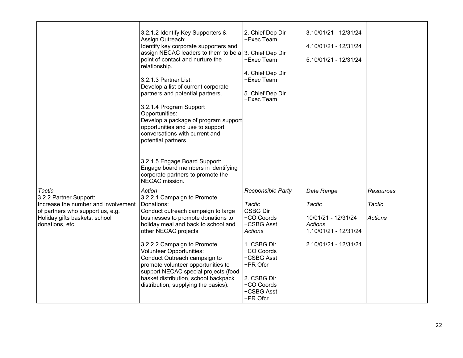|                                                                                                                                                                        | 3.2.1.2 Identify Key Supporters &<br>Assign Outreach:<br>Identify key corporate supporters and<br>assign NECAC leaders to them to be a 3. Chief Dep Dir<br>point of contact and nurture the<br>relationship.<br>3.2.1.3 Partner List:<br>Develop a list of current corporate<br>partners and potential partners.<br>3.2.1.4 Program Support<br>Opportunities:<br>Develop a package of program support<br>opportunities and use to support<br>conversations with current and<br>potential partners.<br>3.2.1.5 Engage Board Support:<br>Engage board members in identifying<br>corporate partners to promote the<br>NECAC mission. | 2. Chief Dep Dir<br>+Exec Team<br>+Exec Team<br>4. Chief Dep Dir<br>+Exec Team<br>5. Chief Dep Dir<br>+Exec Team                                                                                                  | 3.10/01/21 - 12/31/24<br>4.10/01/21 - 12/31/24<br>5.10/01/21 - 12/31/24                                         |                                              |
|------------------------------------------------------------------------------------------------------------------------------------------------------------------------|-----------------------------------------------------------------------------------------------------------------------------------------------------------------------------------------------------------------------------------------------------------------------------------------------------------------------------------------------------------------------------------------------------------------------------------------------------------------------------------------------------------------------------------------------------------------------------------------------------------------------------------|-------------------------------------------------------------------------------------------------------------------------------------------------------------------------------------------------------------------|-----------------------------------------------------------------------------------------------------------------|----------------------------------------------|
| <b>Tactic</b><br>3.2.2 Partner Support:<br>Increase the number and involvement<br>of partners who support us, e.g.<br>Holiday gifts baskets, school<br>donations, etc. | Action<br>3.2.2.1 Campaign to Promote<br>Donations:<br>Conduct outreach campaign to large<br>businesses to promote donations to<br>holiday meal and back to school and<br>other NECAC projects<br>3.2.2.2 Campaign to Promote<br><b>Volunteer Opportunities:</b><br>Conduct Outreach campaign to<br>promote volunteer opportunities to<br>support NECAC special projects (food<br>basket distribution, school backpack<br>distribution, supplying the basics).                                                                                                                                                                    | Responsible Party<br><b>Tactic</b><br><b>CSBG Dir</b><br>+CO Coords<br>+CSBG Asst<br><b>Actions</b><br>1. CSBG Dir<br>+CO Coords<br>+CSBG Asst<br>+PR Ofcr<br>2. CSBG Dir<br>+CO Coords<br>+CSBG Asst<br>+PR Ofcr | Date Range<br>Tactic<br>10/01/21 - 12/31/24<br><b>Actions</b><br>1.10/01/21 - 12/31/24<br>2.10/01/21 - 12/31/24 | Resources<br><b>Tactic</b><br><b>Actions</b> |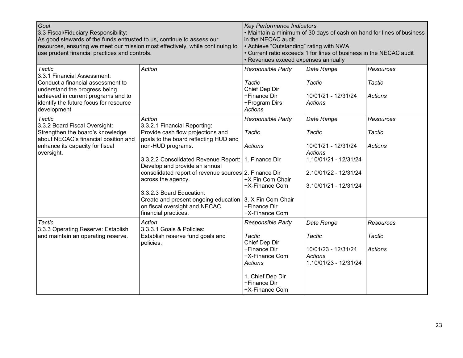| Goal<br>3.3 Fiscal/Fiduciary Responsibility:<br>As good stewards of the funds entrusted to us, continue to assess our<br>resources, ensuring we meet our mission most effectively, while continuing to<br>use prudent financial practices and controls. |                                                                                                            | <b>Key Performance Indicators</b><br>• Maintain a minimum of 30 days of cash on hand for lines of business<br>in the NECAC audit<br>• Achieve "Outstanding" rating with NWA<br>Current ratio exceeds 1 for lines of business in the NECAC audit<br>Revenues exceed expenses annually |                                                                |                  |
|---------------------------------------------------------------------------------------------------------------------------------------------------------------------------------------------------------------------------------------------------------|------------------------------------------------------------------------------------------------------------|--------------------------------------------------------------------------------------------------------------------------------------------------------------------------------------------------------------------------------------------------------------------------------------|----------------------------------------------------------------|------------------|
| Tactic<br>3.3.1 Financial Assessment:                                                                                                                                                                                                                   | Action                                                                                                     | Responsible Party                                                                                                                                                                                                                                                                    | Date Range                                                     | <b>Resources</b> |
| Conduct a financial assessment to                                                                                                                                                                                                                       |                                                                                                            | <b>Tactic</b>                                                                                                                                                                                                                                                                        | Tactic                                                         | Tactic           |
| understand the progress being<br>achieved in current programs and to<br>identify the future focus for resource<br>development                                                                                                                           |                                                                                                            | Chief Dep Dir<br>+Finance Dir<br>+Program Dirs<br><b>Actions</b>                                                                                                                                                                                                                     | 10/01/21 - 12/31/24<br><b>Actions</b>                          | <b>Actions</b>   |
| <b>Tactic</b>                                                                                                                                                                                                                                           | Action                                                                                                     | Responsible Party                                                                                                                                                                                                                                                                    | Date Range                                                     | <b>Resources</b> |
| 3.3.2 Board Fiscal Oversight:<br>Strengthen the board's knowledge<br>about NECAC's financial position and                                                                                                                                               | 3.3.2.1 Financial Reporting:<br>Provide cash flow projections and<br>goals to the board reflecting HUD and | <b>Tactic</b>                                                                                                                                                                                                                                                                        | Tactic                                                         | Tactic           |
| enhance its capacity for fiscal<br>oversight.                                                                                                                                                                                                           | non-HUD programs.                                                                                          | <b>Actions</b>                                                                                                                                                                                                                                                                       | 10/01/21 - 12/31/24<br><b>Actions</b>                          | <b>Actions</b>   |
|                                                                                                                                                                                                                                                         | 3.3.2.2 Consolidated Revenue Report:   1. Finance Dir                                                      |                                                                                                                                                                                                                                                                                      | 1.10/01/21 - 12/31/24                                          |                  |
|                                                                                                                                                                                                                                                         | Develop and provide an annual<br>consolidated report of revenue sources 2. Finance Dir                     |                                                                                                                                                                                                                                                                                      | 2.10/01/22 - 12/31/24                                          |                  |
|                                                                                                                                                                                                                                                         | across the agency.                                                                                         | +X Fin Com Chair<br>+X-Finance Com                                                                                                                                                                                                                                                   | 3.10/01/21 - 12/31/24                                          |                  |
|                                                                                                                                                                                                                                                         | 3.3.2.3 Board Education:<br>Create and present ongoing education 3. X Fin Com Chair                        |                                                                                                                                                                                                                                                                                      |                                                                |                  |
|                                                                                                                                                                                                                                                         | on fiscal oversight and NECAC<br>financial practices.                                                      | +Finance Dir<br>+X-Finance Com                                                                                                                                                                                                                                                       |                                                                |                  |
| Tactic<br>3.3.3 Operating Reserve: Establish                                                                                                                                                                                                            | Action<br>3.3.3.1 Goals & Policies:                                                                        | Responsible Party                                                                                                                                                                                                                                                                    | Date Range                                                     | <b>Resources</b> |
| and maintain an operating reserve.                                                                                                                                                                                                                      | Establish reserve fund goals and<br>policies.                                                              | <b>Tactic</b><br>Chief Dep Dir                                                                                                                                                                                                                                                       | <b>Tactic</b>                                                  | Tactic           |
|                                                                                                                                                                                                                                                         |                                                                                                            | +Finance Dir<br>+X-Finance Com<br><b>Actions</b>                                                                                                                                                                                                                                     | 10/01/23 - 12/31/24<br><b>Actions</b><br>1.10/01/23 - 12/31/24 | Actions          |
|                                                                                                                                                                                                                                                         |                                                                                                            | 1. Chief Dep Dir<br>+Finance Dir<br>+X-Finance Com                                                                                                                                                                                                                                   |                                                                |                  |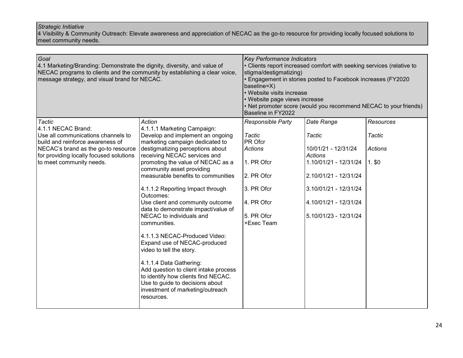4 Visibility & Community Outreach: Elevate awareness and appreciation of NECAC as the go-to resource for providing locally focused solutions to meet community needs.

| Goal<br>4.1 Marketing/Branding: Demonstrate the dignity, diversity, and value of<br>NECAC programs to clients and the community by establishing a clear voice,<br>message strategy, and visual brand for NECAC.      |                                                                                                                                                                                                                                                                                                                                                                                                                                                                                                                                                                                                                                                                                                                                                               | <b>Key Performance Indicators</b><br>• Clients report increased comfort with seeking services (relative to<br>stigma/destigmatizing)<br>• Engagement in stories posted to Facebook increases (FY2020<br>baseline=X)<br>• Website visits increase<br>• Website page views increase<br>• Net promoter score (would you recommend NECAC to your friends)<br>Baseline in FY2022 |                                                                                                                                                                                     |                                                   |
|----------------------------------------------------------------------------------------------------------------------------------------------------------------------------------------------------------------------|---------------------------------------------------------------------------------------------------------------------------------------------------------------------------------------------------------------------------------------------------------------------------------------------------------------------------------------------------------------------------------------------------------------------------------------------------------------------------------------------------------------------------------------------------------------------------------------------------------------------------------------------------------------------------------------------------------------------------------------------------------------|-----------------------------------------------------------------------------------------------------------------------------------------------------------------------------------------------------------------------------------------------------------------------------------------------------------------------------------------------------------------------------|-------------------------------------------------------------------------------------------------------------------------------------------------------------------------------------|---------------------------------------------------|
| Tactic<br>4.1.1 NECAC Brand:<br>Use all communications channels to<br>build and reinforce awareness of<br>NECAC's brand as the go-to resource<br>for providing locally focused solutions<br>to meet community needs. | Action<br>4.1.1.1 Marketing Campaign:<br>Develop and implement an ongoing<br>marketing campaign dedicated to<br>destigmatizing perceptions about<br>receiving NECAC services and<br>promoting the value of NECAC as a<br>community asset providing<br>measurable benefits to communities<br>4.1.1.2 Reporting Impact through<br>Outcomes:<br>Use client and community outcome<br>data to demonstrate impact/value of<br>NECAC to individuals and<br>communities.<br>4.1.1.3 NECAC-Produced Video:<br>Expand use of NECAC-produced<br>video to tell the story.<br>4.1.1.4 Data Gathering:<br>Add question to client intake process<br>to identify how clients find NECAC.<br>Use to guide to decisions about<br>investment of marketing/outreach<br>resources. | Responsible Party<br>Tactic<br>PR Ofcr<br><b>Actions</b><br>1. PR Ofcr<br>2. PR Ofcr<br>3. PR Ofcr<br>4. PR Ofcr<br>5. PR Ofcr<br>+Exec Team                                                                                                                                                                                                                                | Date Range<br>Tactic<br>10/01/21 - 12/31/24<br>Actions<br>1.10/01/21 - 12/31/24<br>2.10/01/21 - 12/31/24<br>3.10/01/21 - 12/31/24<br>4.10/01/21 - 12/31/24<br>5.10/01/23 - 12/31/24 | <b>Resources</b><br>Tactic<br>Actions<br>$1.$ \$0 |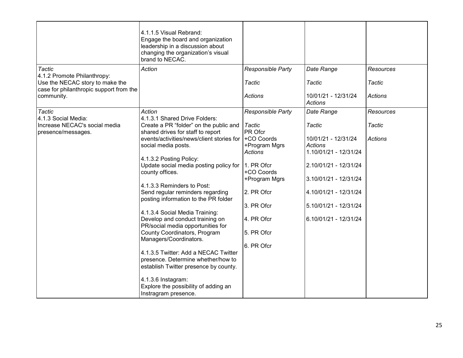| Tactic<br>4.1.2 Promote Philanthropy:                                                    | 4.1.1.5 Visual Rebrand:<br>Engage the board and organization<br>leadership in a discussion about<br>changing the organization's visual<br>brand to NECAC.<br>Action | Responsible Party                         | Date Range                                                     | <b>Resources</b>  |
|------------------------------------------------------------------------------------------|---------------------------------------------------------------------------------------------------------------------------------------------------------------------|-------------------------------------------|----------------------------------------------------------------|-------------------|
| Use the NECAC story to make the<br>case for philanthropic support from the<br>community. |                                                                                                                                                                     | Tactic<br><b>Actions</b>                  | Tactic<br>10/01/21 - 12/31/24<br><b>Actions</b>                | Tactic<br>Actions |
|                                                                                          |                                                                                                                                                                     |                                           |                                                                |                   |
| <b>Tactic</b><br>4.1.3 Social Media:                                                     | Action<br>4.1.3.1 Shared Drive Folders:                                                                                                                             | Responsible Party                         | Date Range                                                     | <b>Resources</b>  |
| Increase NECAC's social media<br>presence/messages.                                      | Create a PR "folder" on the public and<br>shared drives for staff to report                                                                                         | Tactic<br>PR Ofcr                         | <b>Tactic</b>                                                  | Tactic            |
|                                                                                          | events/activities/news/client stories for<br>social media posts.                                                                                                    | +CO Coords<br>+Program Mgrs<br>Actions    | 10/01/21 - 12/31/24<br><b>Actions</b><br>1.10/01/21 - 12/31/24 | <b>Actions</b>    |
|                                                                                          | 4.1.3.2 Posting Policy:<br>Update social media posting policy for<br>county offices.                                                                                | 1. PR Ofcr<br>+CO Coords<br>+Program Mgrs | 2.10/01/21 - 12/31/24<br>3.10/01/21 - 12/31/24                 |                   |
|                                                                                          | 4.1.3.3 Reminders to Post:                                                                                                                                          |                                           |                                                                |                   |
|                                                                                          | Send regular reminders regarding<br>posting information to the PR folder                                                                                            | 2. PR Ofcr                                | 4.10/01/21 - 12/31/24                                          |                   |
|                                                                                          |                                                                                                                                                                     | 3. PR Ofcr                                | 5.10/01/21 - 12/31/24                                          |                   |
|                                                                                          | 4.1.3.4 Social Media Training:<br>Develop and conduct training on<br>PR/social media opportunities for                                                              | 4. PR Ofcr                                | 6.10/01/21 - 12/31/24                                          |                   |
|                                                                                          | County Coordinators, Program<br>Managers/Coordinators.                                                                                                              | 5. PR Ofcr                                |                                                                |                   |
|                                                                                          |                                                                                                                                                                     | 6. PR Ofcr                                |                                                                |                   |
|                                                                                          | 4.1.3.5 Twitter: Add a NECAC Twitter<br>presence. Determine whether/how to<br>establish Twitter presence by county.                                                 |                                           |                                                                |                   |
|                                                                                          | 4.1.3.6 Instagram:<br>Explore the possibility of adding an<br>Instragram presence.                                                                                  |                                           |                                                                |                   |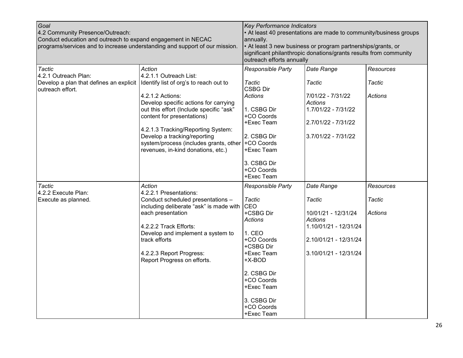| Goal<br>4.2 Community Presence/Outreach:<br>Conduct education and outreach to expand engagement in NECAC<br>programs/services and to increase understanding and support of our mission. |                                                                                                                                                                                                                                                                                                                                                                                   | Key Performance Indicators<br>• At least 40 presentations are made to community/business groups<br>annually.<br>• At least 3 new business or program partnerships/grants, or<br>significant philanthropic donations/grants results from community<br>outreach efforts annually |                                                                                                                                          |                                                     |
|-----------------------------------------------------------------------------------------------------------------------------------------------------------------------------------------|-----------------------------------------------------------------------------------------------------------------------------------------------------------------------------------------------------------------------------------------------------------------------------------------------------------------------------------------------------------------------------------|--------------------------------------------------------------------------------------------------------------------------------------------------------------------------------------------------------------------------------------------------------------------------------|------------------------------------------------------------------------------------------------------------------------------------------|-----------------------------------------------------|
| Tactic<br>4.2.1 Outreach Plan:<br>Develop a plan that defines an explicit<br>outreach effort.                                                                                           | Action<br>4.2.1.1 Outreach List:<br>Identify list of org's to reach out to<br>4.2.1.2 Actions:<br>Develop specific actions for carrying<br>out this effort (Include specific "ask"<br>content for presentations)<br>4.2.1.3 Tracking/Reporting System:<br>Develop a tracking/reporting<br>system/process (includes grants, other +CO Coords<br>revenues, in-kind donations, etc.) | Responsible Party<br>Tactic<br><b>CSBG Dir</b><br><b>Actions</b><br>1. CSBG Dir<br>+CO Coords<br>+Exec Team<br>2. CSBG Dir<br>+Exec Team<br>3. CSBG Dir<br>+CO Coords<br>+Exec Team                                                                                            | Date Range<br>Tactic<br>7/01/22 - 7/31/22<br><b>Actions</b><br>1.7/01/22 - 7/31/22<br>2.7/01/22 - 7/31/22<br>3.7/01/22 - 7/31/22         | <b>Resources</b><br><b>Tactic</b><br><b>Actions</b> |
| Tactic<br>4.2.2 Execute Plan:<br>Execute as planned.                                                                                                                                    | Action<br>4.2.2.1 Presentations:<br>Conduct scheduled presentations -<br>including deliberate "ask" is made with<br>each presentation<br>4.2.2.2 Track Efforts:<br>Develop and implement a system to<br>track efforts<br>4.2.2.3 Report Progress:<br>Report Progress on efforts.                                                                                                  | Responsible Party<br><b>Tactic</b><br>CEO<br>+CSBG Dir<br><b>Actions</b><br>1. CEO<br>+CO Coords<br>+CSBG Dir<br>+Exec Team<br>$+X-BOD$<br>2. CSBG Dir<br>+CO Coords<br>+Exec Team<br>3. CSBG Dir<br>+CO Coords<br>+Exec Team                                                  | Date Range<br>Tactic<br>10/01/21 - 12/31/24<br><b>Actions</b><br>1.10/01/21 - 12/31/24<br>2.10/01/21 - 12/31/24<br>3.10/01/21 - 12/31/24 | Resources<br>Tactic<br>Actions                      |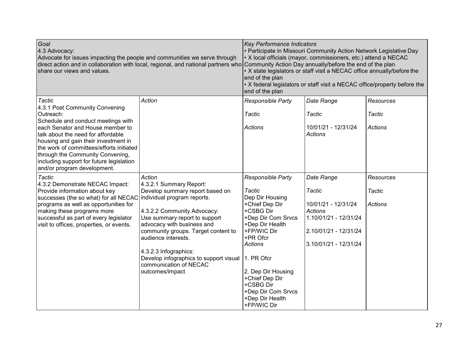| Goal<br>4.3 Advocacy:<br>Advocate for issues impacting the people and communities we serve through<br>direct action and in collaboration with local, regional, and national partners who<br>share our views and values. |                                                                                           | <b>Key Performance Indicators</b><br>• Participate in Missouri Community Action Network Legislative Day<br>• X local officials (mayor, commissioners, etc.) attend a NECAC<br>Community Action Day annually/before the end of the plan<br>• X state legislators or staff visit a NECAC office annually/before the<br>end of the plan<br>• X federal legislators or staff visit a NECAC office/property before the<br>end of the plan |                                       |                  |
|-------------------------------------------------------------------------------------------------------------------------------------------------------------------------------------------------------------------------|-------------------------------------------------------------------------------------------|--------------------------------------------------------------------------------------------------------------------------------------------------------------------------------------------------------------------------------------------------------------------------------------------------------------------------------------------------------------------------------------------------------------------------------------|---------------------------------------|------------------|
| <b>Tactic</b>                                                                                                                                                                                                           | Action                                                                                    | Responsible Party                                                                                                                                                                                                                                                                                                                                                                                                                    | Date Range                            | <b>Resources</b> |
| 4.3.1 Post Community Convening<br>Outreach:<br>Schedule and conduct meetings with                                                                                                                                       |                                                                                           | <b>Tactic</b>                                                                                                                                                                                                                                                                                                                                                                                                                        | <b>Tactic</b>                         | <b>Tactic</b>    |
| each Senator and House member to<br>talk about the need for affordable<br>housing and gain their investment in                                                                                                          |                                                                                           | <b>Actions</b>                                                                                                                                                                                                                                                                                                                                                                                                                       | 10/01/21 - 12/31/24<br><b>Actions</b> | <b>Actions</b>   |
| the work of committees/efforts initiated<br>through the Community Convening,                                                                                                                                            |                                                                                           |                                                                                                                                                                                                                                                                                                                                                                                                                                      |                                       |                  |
| including support for future legislation<br>and/or program development.                                                                                                                                                 |                                                                                           |                                                                                                                                                                                                                                                                                                                                                                                                                                      |                                       |                  |
| Tactic                                                                                                                                                                                                                  | Action                                                                                    | Responsible Party                                                                                                                                                                                                                                                                                                                                                                                                                    | Date Range                            | Resources        |
| 4.3.2 Demonstrate NECAC Impact:<br>Provide information about key                                                                                                                                                        | 4.3.2.1 Summary Report:<br>Develop summary report based on                                | Tactic                                                                                                                                                                                                                                                                                                                                                                                                                               | Tactic                                | Tactic           |
| successes (the so what) for all NECAC individual program reports.<br>programs as well as opportunities for                                                                                                              |                                                                                           | Dep Dir Housing<br>+Chief Dep Dir                                                                                                                                                                                                                                                                                                                                                                                                    | 10/01/21 - 12/31/24                   | Actions          |
| making these programs more                                                                                                                                                                                              | 4.3.2.2 Community Advocacy:                                                               | +CSBG Dir                                                                                                                                                                                                                                                                                                                                                                                                                            | Actions                               |                  |
| successful as part of every legislator<br>visit to offices, properties, or events.                                                                                                                                      | Use summary report to support<br>advocacy with business and                               | +Dep Dir Com Srvcs<br>+Dep Dir Health                                                                                                                                                                                                                                                                                                                                                                                                | 1.10/01/21 - 12/31/24                 |                  |
|                                                                                                                                                                                                                         | community groups. Target content to<br>audience interests.                                | +FP/WIC Dir<br>+PR Ofcr                                                                                                                                                                                                                                                                                                                                                                                                              | 2.10/01/21 - 12/31/24                 |                  |
|                                                                                                                                                                                                                         |                                                                                           | <b>Actions</b>                                                                                                                                                                                                                                                                                                                                                                                                                       | 3.10/01/21 - 12/31/24                 |                  |
|                                                                                                                                                                                                                         | 4.3.2.3 Infographics:<br>Develop infographics to support visual<br>communication of NECAC | $ 1.$ PR Ofcr                                                                                                                                                                                                                                                                                                                                                                                                                        |                                       |                  |
|                                                                                                                                                                                                                         | outcomes/impact                                                                           | 2. Dep Dir Housing<br>+Chief Dep Dir                                                                                                                                                                                                                                                                                                                                                                                                 |                                       |                  |
|                                                                                                                                                                                                                         |                                                                                           | +CSBG Dir                                                                                                                                                                                                                                                                                                                                                                                                                            |                                       |                  |
|                                                                                                                                                                                                                         |                                                                                           | +Dep Dir Com Srvcs<br>+Dep Dir Health                                                                                                                                                                                                                                                                                                                                                                                                |                                       |                  |
|                                                                                                                                                                                                                         |                                                                                           | +FP/WIC Dir                                                                                                                                                                                                                                                                                                                                                                                                                          |                                       |                  |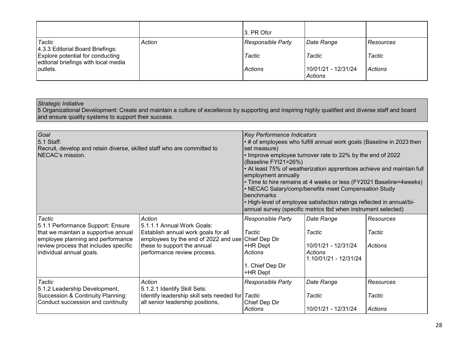|                                                                                                                                              | 3. PR Ofcr                                           |                                                        |                                       |
|----------------------------------------------------------------------------------------------------------------------------------------------|------------------------------------------------------|--------------------------------------------------------|---------------------------------------|
| Tactic<br>Action<br>4.3.3 Editorial Board Briefings:<br>Explore potential for conducting<br>editorial briefings with local media<br>outlets. | <b>Responsible Party</b><br>Tactic<br><b>Actions</b> | Date Range<br>Tactic<br>10/01/21 - 12/31/24<br>Actions | Resources<br>Tactic<br><i>Actions</i> |

5 Organizational Development: Create and maintain a culture of excellence by supporting and inspiring highly qualified and diverse staff and board and ensure quality systems to support their success.

| Goal<br>5.1 Staff:<br>Recruit, develop and retain diverse, skilled staff who are committed to<br>NECAC's mission.                                                                                    |                                                                                                                                                                                   | <b>Key Performance Indicators</b><br>• # of employees who fulfill annual work goals (Baseline in 2023 then<br>set measure)<br>• Improve employee turnover rate to 22% by the end of 2022<br>(Baseline FYI21=26%)<br>. At least 75% of weatherization apprentices achieve and maintain full<br>employment annually<br>• Time to hire remains at 4 weeks or less (FY2021 Baseline=4weeks)<br>• NECAC Salary/comp/benefits meet Compensation Study<br>benchmarks<br>• High-level of employee satisfaction ratings reflected in annual/bi-<br>annual survey (specific metrics tbd when instrument selected) |                                                                                 |                                       |
|------------------------------------------------------------------------------------------------------------------------------------------------------------------------------------------------------|-----------------------------------------------------------------------------------------------------------------------------------------------------------------------------------|---------------------------------------------------------------------------------------------------------------------------------------------------------------------------------------------------------------------------------------------------------------------------------------------------------------------------------------------------------------------------------------------------------------------------------------------------------------------------------------------------------------------------------------------------------------------------------------------------------|---------------------------------------------------------------------------------|---------------------------------------|
| <b>Tactic</b><br>5.1.1 Performance Support: Ensure<br>that we maintain a supportive annual<br>employee planning and performance<br>review process that includes specific<br>individual annual goals. | Action<br>5.1.1.1 Annual Work Goals:<br>Establish annual work goals for all<br>employees by the end of 2022 and use<br>these to support the annual<br>performance review process. | Responsible Party<br>Tactic<br>Chief Dep Dir<br>+HR Dept<br>Actions<br>1. Chief Dep Dir<br>+HR Dept                                                                                                                                                                                                                                                                                                                                                                                                                                                                                                     | Date Range<br>Tactic<br>10/01/21 - 12/31/24<br>Actions<br>1.10/01/21 - 12/31/24 | Resources<br>Tactic<br><b>Actions</b> |
| Tactic<br>5.1.2 Leadership Development,<br>Succession & Continuity Planning:<br>Conduct succession and continuity                                                                                    | Action<br>5.1.2.1 Identify Skill Sets:<br>Identify leadership skill sets needed for<br>all senior leadership positions,                                                           | <b>Responsible Party</b><br>Tactic<br>Chief Dep Dir<br>Actions                                                                                                                                                                                                                                                                                                                                                                                                                                                                                                                                          | Date Range<br>Tactic<br>10/01/21 - 12/31/24                                     | Resources<br>Tactic<br><b>Actions</b> |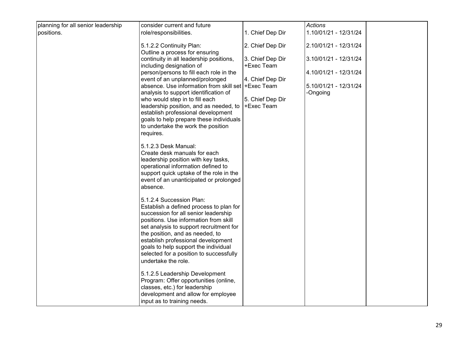|                                    | consider current and future                                                                                                                                                                                                                                                                                                                                                                                                                                                                                                                                                                                                                                                                                                                                                                                                                                                                                                                                                                                                                                                                                                                        |                                                                                                                                            | <b>Actions</b>                                                                                               |
|------------------------------------|----------------------------------------------------------------------------------------------------------------------------------------------------------------------------------------------------------------------------------------------------------------------------------------------------------------------------------------------------------------------------------------------------------------------------------------------------------------------------------------------------------------------------------------------------------------------------------------------------------------------------------------------------------------------------------------------------------------------------------------------------------------------------------------------------------------------------------------------------------------------------------------------------------------------------------------------------------------------------------------------------------------------------------------------------------------------------------------------------------------------------------------------------|--------------------------------------------------------------------------------------------------------------------------------------------|--------------------------------------------------------------------------------------------------------------|
| positions.                         |                                                                                                                                                                                                                                                                                                                                                                                                                                                                                                                                                                                                                                                                                                                                                                                                                                                                                                                                                                                                                                                                                                                                                    |                                                                                                                                            | 1.10/01/21 - 12/31/24                                                                                        |
| planning for all senior leadership | role/responsibilities.<br>5.1.2.2 Continuity Plan:<br>Outline a process for ensuring<br>continuity in all leadership positions,<br>including designation of<br>person/persons to fill each role in the<br>event of an unplanned/prolonged<br>absence. Use information from skill set<br>analysis to support identification of<br>who would step in to fill each<br>leadership position, and as needed, to<br>establish professional development<br>goals to help prepare these individuals<br>to undertake the work the position<br>requires.<br>5.1.2.3 Desk Manual:<br>Create desk manuals for each<br>leadership position with key tasks,<br>operational information defined to<br>support quick uptake of the role in the<br>event of an unanticipated or prolonged<br>absence.<br>5.1.2.4 Succession Plan:<br>Establish a defined process to plan for<br>succession for all senior leadership<br>positions. Use information from skill<br>set analysis to support recruitment for<br>the position, and as needed, to<br>establish professional development<br>goals to help support the individual<br>selected for a position to successfully | 1. Chief Dep Dir<br>2. Chief Dep Dir<br>3. Chief Dep Dir<br>+Exec Team<br>4. Chief Dep Dir<br>+Exec Team<br>5. Chief Dep Dir<br>+Exec Team | 2.10/01/21 - 12/31/24<br>3.10/01/21 - 12/31/24<br>4.10/01/21 - 12/31/24<br>5.10/01/21 - 12/31/24<br>-Ongoing |
|                                    | undertake the role.<br>5.1.2.5 Leadership Development<br>Program: Offer opportunities (online,<br>classes, etc.) for leadership<br>development and allow for employee                                                                                                                                                                                                                                                                                                                                                                                                                                                                                                                                                                                                                                                                                                                                                                                                                                                                                                                                                                              |                                                                                                                                            |                                                                                                              |
|                                    | input as to training needs.                                                                                                                                                                                                                                                                                                                                                                                                                                                                                                                                                                                                                                                                                                                                                                                                                                                                                                                                                                                                                                                                                                                        |                                                                                                                                            |                                                                                                              |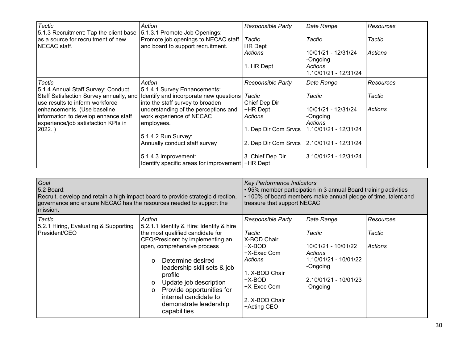| Tactic<br>$ 5.1.3$ Recruitment: Tap the client base $ 5.1.3.1$ Promote Job Openings: | Action                                                                         | <b>Responsible Party</b>                     | Date Range                       | Resources |
|--------------------------------------------------------------------------------------|--------------------------------------------------------------------------------|----------------------------------------------|----------------------------------|-----------|
| as a source for recruitment of new<br>NECAC staff.                                   | Promote job openings to NECAC staff<br>and board to support recruitment.       | Tactic<br><b>HR</b> Dept                     | Tactic                           | Tactic    |
|                                                                                      |                                                                                | Actions                                      | 10/01/21 - 12/31/24<br>-Ongoing  | Actions   |
|                                                                                      |                                                                                | 1. HR Dept                                   | Actions<br>1.10/01/21 - 12/31/24 |           |
| Tactic                                                                               | Action                                                                         | <b>Responsible Party</b>                     | Date Range                       | Resources |
| 5.1.4 Annual Staff Survey: Conduct                                                   | 5.1.4.1 Survey Enhancements:                                                   |                                              |                                  |           |
|                                                                                      | Staff Satisfaction Survey annually, and Identify and incorporate new questions | <b>Tactic</b>                                | Tactic                           | Tactic    |
| use results to inform workforce                                                      | into the staff survey to broaden                                               | Chief Dep Dir                                |                                  |           |
| enhancements. (Use baseline                                                          | understanding of the perceptions and                                           | +HR Dept                                     | 10/01/21 - 12/31/24              | Actions   |
| information to develop enhance staff                                                 | work experience of NECAC                                                       | Actions                                      | -Ongoing                         |           |
| experience/job satisfaction KPIs in                                                  | employees.                                                                     |                                              | Actions                          |           |
| 2022.)                                                                               |                                                                                | 1. Dep Dir Com Srvcs                         | 1.10/01/21 - 12/31/24            |           |
|                                                                                      | 5.1.4.2 Run Survey:                                                            |                                              |                                  |           |
|                                                                                      | Annually conduct staff survey                                                  | 2. Dep Dir Com Srvcs   2.10/01/21 - 12/31/24 |                                  |           |
|                                                                                      | 5.1.4.3 Improvement:<br>Identify specific areas for improvement   +HR Dept     | 3. Chief Dep Dir                             | 3.10/01/21 - 12/31/24            |           |

| Goal<br>5.2 Board:<br>Recruit, develop and retain a high impact board to provide strategic direction,<br>governance and ensure NECAC has the resources needed to support the<br>mission. | <b>Key Performance Indicators</b><br>• 95% member participation in 3 annual Board training activities<br>• 100% of board members make annual pledge of time, talent and<br>treasure that support NECAC                                                                                                                                                                               |                                                                                                                                                                   |                                                                                                                                  |                                       |
|------------------------------------------------------------------------------------------------------------------------------------------------------------------------------------------|--------------------------------------------------------------------------------------------------------------------------------------------------------------------------------------------------------------------------------------------------------------------------------------------------------------------------------------------------------------------------------------|-------------------------------------------------------------------------------------------------------------------------------------------------------------------|----------------------------------------------------------------------------------------------------------------------------------|---------------------------------------|
| Tactic<br>5.2.1 Hiring, Evaluating & Supporting<br>President/CEO                                                                                                                         | Action<br>5.2.1.1 Identify & Hire: Identify & hire<br>the most qualified candidate for<br>CEO/President by implementing an<br>open, comprehensive process<br>Determine desired<br>$\Omega$<br>leadership skill sets & job<br>profile<br>Update job description<br>$\circ$<br>Provide opportunities for<br>$\circ$<br>internal candidate to<br>demonstrate leadership<br>capabilities | <b>Responsible Party</b><br>Tactic<br>X-BOD Chair<br>+X-BOD<br>+X-Exec Com<br>Actions<br>1. X-BOD Chair<br>+X-BOD<br>+X-Exec Com<br>2. X-BOD Chair<br>+Acting CEO | Date Range<br>Tactic<br>10/01/21 - 10/01/22<br>Actions<br>1.10/01/21 - 10/01/22<br>-Ongoing<br>2.10/01/21 - 10/01/23<br>-Ongoing | <b>Resources</b><br>Tactic<br>Actions |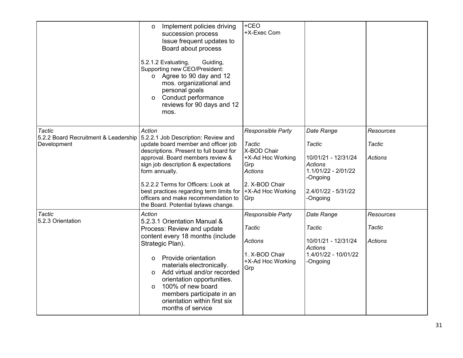|                                                               | Implement policies driving<br>O<br>succession process<br>Issue frequent updates to<br>Board about process<br>5.2.1.2 Evaluating,<br>Guiding,<br>Supporting new CEO/President:<br>o Agree to 90 day and 12<br>mos. organizational and<br>personal goals<br>Conduct performance<br>$\circ$<br>reviews for 90 days and 12<br>mos.                                                                | $+CEO$<br>+X-Exec Com                                                                                                                  |                                                                                                                                     |                                       |
|---------------------------------------------------------------|-----------------------------------------------------------------------------------------------------------------------------------------------------------------------------------------------------------------------------------------------------------------------------------------------------------------------------------------------------------------------------------------------|----------------------------------------------------------------------------------------------------------------------------------------|-------------------------------------------------------------------------------------------------------------------------------------|---------------------------------------|
| Tactic<br>5.2.2 Board Recruitment & Leadership<br>Development | Action<br>5.2.2.1 Job Description: Review and<br>update board member and officer job<br>descriptions. Present to full board for<br>approval. Board members review &<br>sign job description & expectations<br>form annually.<br>5.2.2.2 Terms for Officers: Look at<br>best practices regarding term limits for<br>officers and make recommendation to<br>the Board. Potential bylaws change. | Responsible Party<br>Tactic<br>X-BOD Chair<br>+X-Ad Hoc Working<br>Grp<br><b>Actions</b><br>2. X-BOD Chair<br>+X-Ad Hoc Working<br>Grp | Date Range<br>Tactic<br>10/01/21 - 12/31/24<br><b>Actions</b><br>1.1/01/22 - 2/01/22<br>-Ongoing<br>2.4/01/22 - 5/31/22<br>-Ongoing | Resources<br>Tactic<br><b>Actions</b> |
| Tactic<br>5.2.3 Orientation                                   | Action<br>5.2.3.1 Orientation Manual &<br>Process: Review and update<br>content every 18 months (include<br>Strategic Plan).<br>Provide orientation<br>O<br>materials electronically.<br>Add virtual and/or recorded<br>$\circ$<br>orientation opportunities.<br>100% of new board<br>$\Omega$<br>members participate in an<br>orientation within first six<br>months of service              | Responsible Party<br><b>Tactic</b><br><b>Actions</b><br>1. X-BOD Chair<br>+X-Ad Hoc Working<br>Grp                                     | Date Range<br>Tactic<br>10/01/21 - 12/31/24<br>Actions<br>1.4/01/22 - 10/01/22<br>-Ongoing                                          | Resources<br>Tactic<br>Actions        |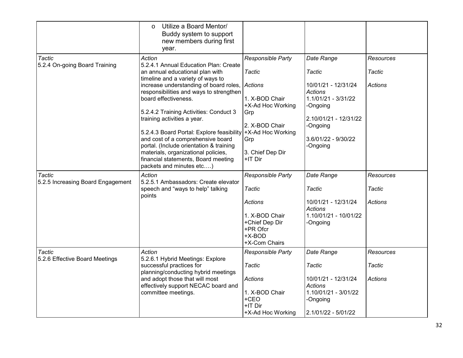|                                                    | Utilize a Board Mentor/<br>$\circ$<br>Buddy system to support<br>new members during first<br>year.     |                                                                           |                                       |                  |
|----------------------------------------------------|--------------------------------------------------------------------------------------------------------|---------------------------------------------------------------------------|---------------------------------------|------------------|
| Tactic<br>5.2.4 On-going Board Training            | Action<br>5.2.4.1 Annual Education Plan: Create                                                        | Responsible Party                                                         | Date Range                            | <b>Resources</b> |
|                                                    | an annual educational plan with<br>timeline and a variety of ways to                                   | <b>Tactic</b>                                                             | Tactic                                | Tactic           |
|                                                    | increase understanding of board roles,<br>responsibilities and ways to strengthen                      | <b>Actions</b>                                                            | 10/01/21 - 12/31/24<br><b>Actions</b> | Actions          |
|                                                    | board effectiveness.                                                                                   | 1. X-BOD Chair<br>+X-Ad Hoc Working                                       | 1.1/01/21 - 3/31/22<br>-Ongoing       |                  |
|                                                    | 5.2.4.2 Training Activities: Conduct 3<br>training activities a year.                                  | Grp                                                                       | 2.10/01/21 - 12/31/22                 |                  |
|                                                    | 5.2.4.3 Board Portal: Explore feasibility                                                              | 2. X-BOD Chair<br>+X-Ad Hoc Working                                       | -Ongoing                              |                  |
|                                                    | and cost of a comprehensive board<br>portal. (Include orientation & training                           | Grp                                                                       | 3.6/01/22 - 9/30/22<br>-Ongoing       |                  |
|                                                    | materials, organizational policies,<br>financial statements, Board meeting<br>packets and minutes etc) | 3. Chief Dep Dir<br>+IT Dir                                               |                                       |                  |
| <b>Tactic</b><br>5.2.5 Increasing Board Engagement | Action<br>5.2.5.1 Ambassadors: Create elevator                                                         | Responsible Party                                                         | Date Range                            | Resources        |
|                                                    | speech and "ways to help" talking<br>points                                                            | Tactic                                                                    | Tactic                                | Tactic           |
|                                                    |                                                                                                        | <b>Actions</b>                                                            | 10/01/21 - 12/31/24<br>Actions        | <b>Actions</b>   |
|                                                    |                                                                                                        | 1. X-BOD Chair<br>+Chief Dep Dir<br>+PR Ofcr<br>$+X-BOD$<br>+X-Com Chairs | 1.10/01/21 - 10/01/22<br>-Ongoing     |                  |
| <b>Tactic</b>                                      | Action<br>5.2.6.1 Hybrid Meetings: Explore                                                             | Responsible Party                                                         | Date Range                            | Resources        |
| 5.2.6 Effective Board Meetings                     | successful practices for<br>planning/conducting hybrid meetings                                        | <b>Tactic</b>                                                             | Tactic                                | Tactic           |
|                                                    | and adopt those that will most<br>effectively support NECAC board and                                  | <b>Actions</b>                                                            | 10/01/21 - 12/31/24<br><b>Actions</b> | <b>Actions</b>   |
|                                                    | committee meetings.                                                                                    | 1. X-BOD Chair<br>+CEO<br>+IT Dir                                         | 1.10/01/21 - 3/01/22<br>-Ongoing      |                  |
|                                                    |                                                                                                        | +X-Ad Hoc Working                                                         | 2.1/01/22 - 5/01/22                   |                  |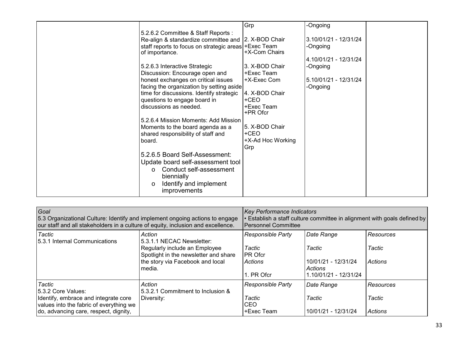|                                                       | Grp               | -Ongoing              |
|-------------------------------------------------------|-------------------|-----------------------|
| 5.2.6.2 Committee & Staff Reports :                   |                   |                       |
| Re-align & standardize committee and   2. X-BOD Chair |                   | 3.10/01/21 - 12/31/24 |
| staff reports to focus on strategic areas + Exec Team |                   | -Ongoing              |
| of importance.                                        | +X-Com Chairs     |                       |
|                                                       |                   | 4.10/01/21 - 12/31/24 |
| 5.2.6.3 Interactive Strategic                         | 3. X-BOD Chair    | -Ongoing              |
|                                                       |                   |                       |
| Discussion: Encourage open and                        | +Exec Team        |                       |
| honest exchanges on critical issues                   | +X-Exec Com       | 5.10/01/21 - 12/31/24 |
| facing the organization by setting aside              |                   | -Ongoing              |
| time for discussions. Identify strategic              | 4. X-BOD Chair    |                       |
| questions to engage board in                          | +CEO              |                       |
| discussions as needed.                                | +Exec Team        |                       |
|                                                       | +PR Ofcr          |                       |
| 5.2.6.4 Mission Moments: Add Mission                  |                   |                       |
| Moments to the board agenda as a                      | 5. X-BOD Chair    |                       |
| shared responsibility of staff and                    | +CEO              |                       |
|                                                       |                   |                       |
| board.                                                | +X-Ad Hoc Working |                       |
|                                                       | Grp               |                       |
| 5.2.6.5 Board Self-Assessment:                        |                   |                       |
| Update board self-assessment tool                     |                   |                       |
| Conduct self-assessment                               |                   |                       |
| biennially                                            |                   |                       |
|                                                       |                   |                       |
| Identify and implement<br>$\circ$                     |                   |                       |
| improvements                                          |                   |                       |

| Goal<br>5.3 Organizational Culture: Identify and implement ongoing actions to engage<br>our staff and all stakeholders in a culture of equity, inclusion and excellence. |                                                                                                                                                             | <b>Key Performance Indicators</b><br>. Establish a staff culture committee in alignment with goals defined by<br><b>Personnel Committee</b> |                                                                                 |                                |  |
|--------------------------------------------------------------------------------------------------------------------------------------------------------------------------|-------------------------------------------------------------------------------------------------------------------------------------------------------------|---------------------------------------------------------------------------------------------------------------------------------------------|---------------------------------------------------------------------------------|--------------------------------|--|
| Tactic<br>15.3.1 Internal Communications                                                                                                                                 | Action<br>5.3.1.1 NECAC Newsletter:<br>Regularly include an Employee<br>Spotlight in the newsletter and share<br>the story via Facebook and local<br>media. | <b>Responsible Party</b><br>Tactic<br><b>PR Ofcr</b><br>  Actions<br>1. PR Ofcr                                                             | Date Range<br>Tactic<br>10/01/21 - 12/31/24<br>Actions<br>1.10/01/21 - 12/31/24 | Resources<br>Tactic<br>Actions |  |
| Tactic<br>15.3.2 Core Values:<br>Identify, embrace and integrate core<br>values into the fabric of everything we<br>do, advancing care, respect, dignity,                | Action<br>5.3.2.1 Commitment to Inclusion &<br>Diversity:                                                                                                   | <b>Responsible Party</b><br>Tactic<br>ICEO<br>+Exec Team                                                                                    | Date Range<br>Tactic<br>10/01/21 - 12/31/24                                     | Resources<br>Tactic<br>Actions |  |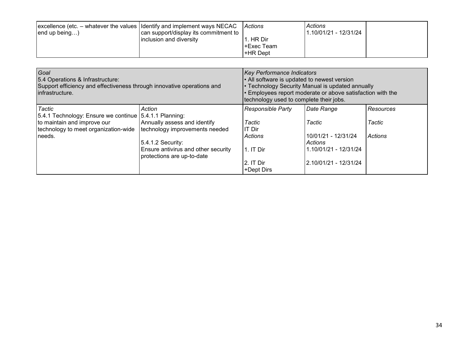| $\alpha$ excellence (etc. – whatever the values $\alpha$ Identify and implement ways NECAC<br> end up being | can support/display its commitment to | Actions     | Actions<br>1.10/01/21 - 12/31/24 |  |
|-------------------------------------------------------------------------------------------------------------|---------------------------------------|-------------|----------------------------------|--|
|                                                                                                             | inclusion and diversity               | . HR Dir    |                                  |  |
|                                                                                                             |                                       | l+Exec Team |                                  |  |
|                                                                                                             |                                       | +HR Dept    |                                  |  |

| Goal<br>5.4 Operations & Infrastructure:<br>Support efficiency and effectiveness through innovative operations and<br>infrastructure. | <b>Key Performance Indicators</b><br>• All software is updated to newest version<br>• Technology Security Manual is updated annually<br>$\cdot$ Employees report moderate or above satisfaction with the<br>technology used to complete their jobs. |                          |                                |                |
|---------------------------------------------------------------------------------------------------------------------------------------|-----------------------------------------------------------------------------------------------------------------------------------------------------------------------------------------------------------------------------------------------------|--------------------------|--------------------------------|----------------|
| <b>Tactic</b><br>5.4.1 Technology: Ensure we continue   5.4.1.1 Planning:                                                             | Action                                                                                                                                                                                                                                              | Responsible Party        | Date Range                     | Resources      |
| to maintain and improve our<br>technology to meet organization-wide                                                                   | Annually assess and identify<br>technology improvements needed<br>5.4.1.2 Security:                                                                                                                                                                 | Tactic<br>IT Dir         | Tactic                         | Tactic         |
| needs.                                                                                                                                |                                                                                                                                                                                                                                                     | Actions                  | 10/01/21 - 12/31/24<br>Actions | <b>Actions</b> |
|                                                                                                                                       | Ensure antivirus and other security<br>protections are up-to-date                                                                                                                                                                                   | 1. IT Dir                | 1.10/01/21 - 12/31/24          |                |
|                                                                                                                                       |                                                                                                                                                                                                                                                     | l2. IT Dir<br>+Dept Dirs | 2.10/01/21 - 12/31/24          |                |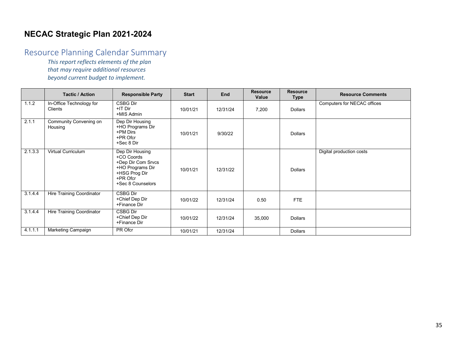# **NECAC Strategic Plan 2021-2024**

# Resource Planning Calendar Summary

*This report reflects elements of the plan that may require additional resources beyond current budget to implement.*

|         | <b>Tactic / Action</b>                     | <b>Responsible Party</b>                                                                                                  | <b>Start</b> | End      | <b>Resource</b><br>Value | <b>Resource</b><br><b>Type</b> | <b>Resource Comments</b>    |
|---------|--------------------------------------------|---------------------------------------------------------------------------------------------------------------------------|--------------|----------|--------------------------|--------------------------------|-----------------------------|
| 1.1.2   | In-Office Technology for<br><b>Clients</b> | CSBG Dir<br>+IT Dir<br>+MIS Admin                                                                                         | 10/01/21     | 12/31/24 | 7,200                    | Dollars                        | Computers for NECAC offices |
| 2.1.1   | Community Convening on<br>Housing          | Dep Dir Housing<br>+HO Programs Dir<br>+PM Dirs<br>+PR Ofcr<br>+Sec 8 Dir                                                 | 10/01/21     | 9/30/22  |                          | <b>Dollars</b>                 |                             |
| 2.1.3.3 | Virtual Curriculum                         | Dep Dir Housing<br>+CO Coords<br>+Dep Dir Com Srvcs<br>+HO Programs Dir<br>+HSG Prog Dir<br>+PR Ofcr<br>+Sec 8 Counselors | 10/01/21     | 12/31/22 |                          | <b>Dollars</b>                 | Digital production costs    |
| 3144    | <b>Hire Training Coordinator</b>           | CSBG Dir<br>+Chief Dep Dir<br>+Finance Dir                                                                                | 10/01/22     | 12/31/24 | 0.50                     | <b>FTE</b>                     |                             |
| 3144    | <b>Hire Training Coordinator</b>           | CSBG Dir<br>+Chief Dep Dir<br>+Finance Dir                                                                                | 10/01/22     | 12/31/24 | 35,000                   | <b>Dollars</b>                 |                             |
| 4.1.1.1 | Marketing Campaign                         | PR Ofcr                                                                                                                   | 10/01/21     | 12/31/24 |                          | <b>Dollars</b>                 |                             |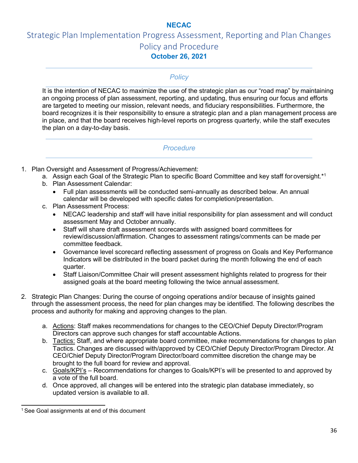# **NECAC**

# Strategic Plan Implementation Progress Assessment, Reporting and Plan Changes Policy and Procedure **October 26, 2021**

### *Policy*

It is the intention of NECAC to maximize the use of the strategic plan as our "road map" by maintaining an ongoing process of plan assessment, reporting, and updating, thus ensuring our focus and efforts are targeted to meeting our mission, relevant needs, and fiduciary responsibilities. Furthermore, the board recognizes it is their responsibility to ensure a strategic plan and a plan management process are in place, and that the board receives high-level reports on progress quarterly, while the staff executes the plan on a day-to-day basis.

### *Procedure*

- 1. Plan Oversight and Assessment of Progress/Achievement:
	- a. Assign each Goal of the Strategic Plan to specific Board Committee and key staff for oversight.<sup>\*1</sup>
	- b. Plan Assessment Calendar:
		- Full plan assessments will be conducted semi-annually as described below. An annual calendar will be developed with specific dates for completion/presentation.
	- c. Plan Assessment Process:
		- NECAC leadership and staff will have initial responsibility for plan assessment and will conduct assessment May and October annually.
		- Staff will share draft assessment scorecards with assigned board committees for review/discussion/affirmation. Changes to assessment ratings/comments can be made per committee feedback.
		- Governance level scorecard reflecting assessment of progress on Goals and Key Performance Indicators will be distributed in the board packet during the month following the end of each quarter.
		- Staff Liaison/Committee Chair will present assessment highlights related to progress for their assigned goals at the board meeting following the twice annual assessment.
- 2. Strategic Plan Changes: During the course of ongoing operations and/or because of insights gained through the assessment process, the need for plan changes may be identified. The following describes the process and authority for making and approving changes to the plan.
	- a. Actions: Staff makes recommendations for changes to the CEO/Chief Deputy Director/Program Directors can approve such changes for staff accountable Actions.
	- b. Tactics: Staff, and where appropriate board committee, make recommendations for changes to plan Tactics. Changes are discussed with/approved by CEO/Chief Deputy Director/Program Director. At CEO/Chief Deputy Director/Program Director/board committee discretion the change may be brought to the full board for review and approval.
	- c. Goals/KPI's Recommendations for changes to Goals/KPI's will be presented to and approved by a vote of the full board.
	- d. Once approved, all changes will be entered into the strategic plan database immediately, so updated version is available to all.

<sup>&</sup>lt;sup>1</sup> See Goal assignments at end of this document